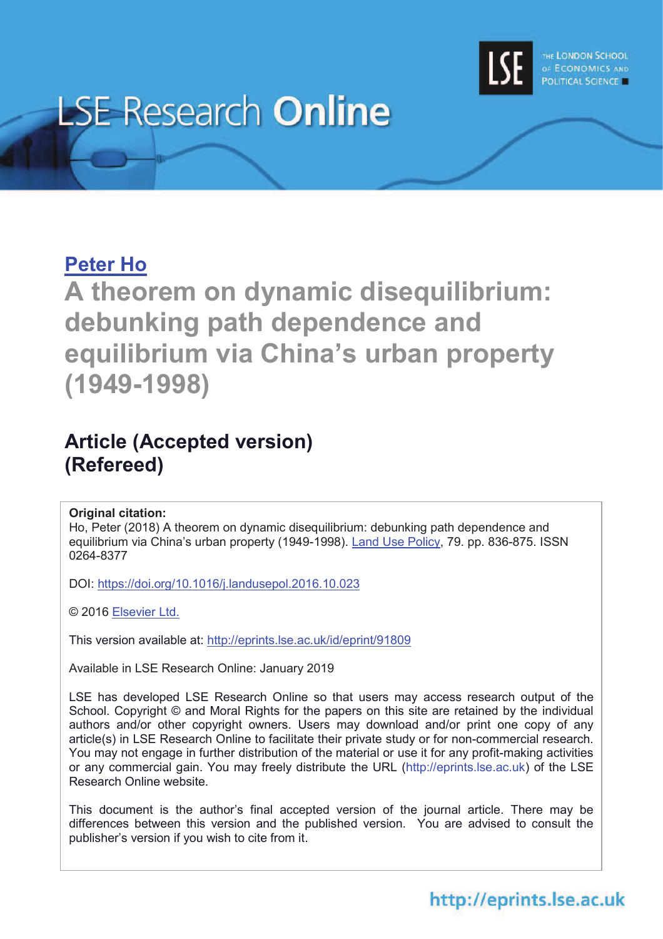

# **LSE Research Online**

# **Peter Ho**

**A theorem on dynamic disequilibrium: debunking path dependence and equilibrium via China's urban property (1949-1998)** 

# **Article (Accepted version) (Refereed)**

# **Original citation:**

Ho, Peter (2018) A theorem on dynamic disequilibrium: debunking path dependence and equilibrium via China's urban property (1949-1998). Land Use Policy, 79. pp. 836-875. ISSN 0264-8377

DOI: https://doi.org/10.1016/j.landusepol.2016.10.023

© 2016 Elsevier Ltd.

This version available at: http://eprints.lse.ac.uk/id/eprint/91809

Available in LSE Research Online: January 2019

LSE has developed LSE Research Online so that users may access research output of the School. Copyright © and Moral Rights for the papers on this site are retained by the individual authors and/or other copyright owners. Users may download and/or print one copy of any article(s) in LSE Research Online to facilitate their private study or for non-commercial research. You may not engage in further distribution of the material or use it for any profit-making activities or any commercial gain. You may freely distribute the URL (http://eprints.lse.ac.uk) of the LSE Research Online website.

This document is the author's final accepted version of the journal article. There may be differences between this version and the published version. You are advised to consult the publisher's version if you wish to cite from it.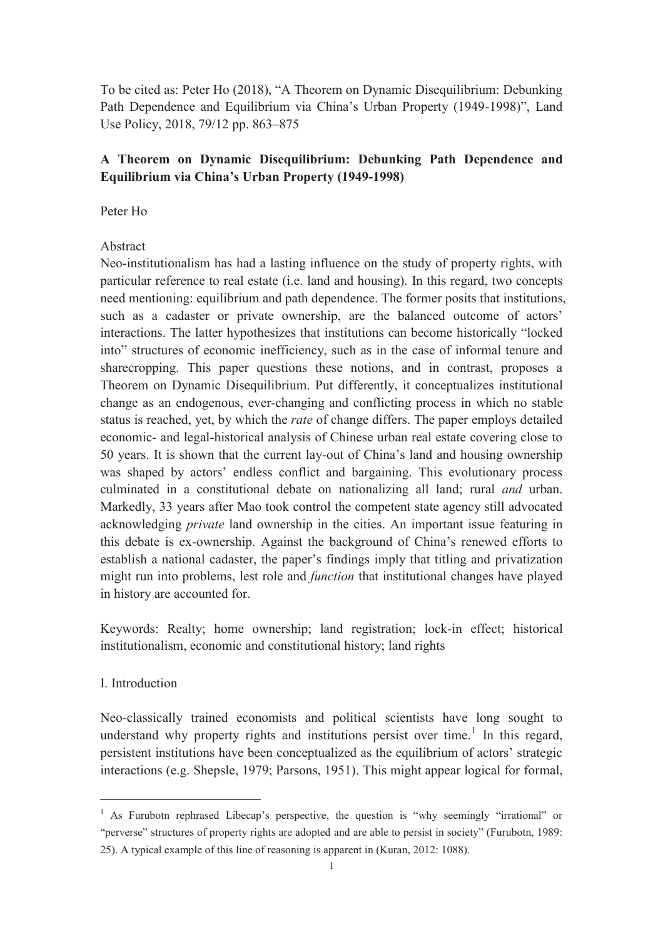To be cited as: Peter Ho (2018), "A Theorem on Dynamic Disequilibrium: Debunking Path Dependence and Equilibrium via China's Urban Property (1949-1998)", Land Use Policy, 2018, 79/12 pp. 863–875

# **A Theorem on Dynamic Disequilibrium: Debunking Path Dependence and Equilibrium via China's Urban Property (1949-1998)**

Peter Ho

#### Abstract

Neo-institutionalism has had a lasting influence on the study of property rights, with particular reference to real estate (i.e. land and housing). In this regard, two concepts need mentioning: equilibrium and path dependence. The former posits that institutions, such as a cadaster or private ownership, are the balanced outcome of actors' interactions. The latter hypothesizes that institutions can become historically "locked into" structures of economic inefficiency, such as in the case of informal tenure and sharecropping. This paper questions these notions, and in contrast, proposes a Theorem on Dynamic Disequilibrium. Put differently, it conceptualizes institutional change as an endogenous, ever-changing and conflicting process in which no stable status is reached, yet, by which the *rate* of change differs. The paper employs detailed economic- and legal-historical analysis of Chinese urban real estate covering close to 50 years. It is shown that the current lay-out of China's land and housing ownership was shaped by actors' endless conflict and bargaining. This evolutionary process culminated in a constitutional debate on nationalizing all land; rural *and* urban. Markedly, 33 years after Mao took control the competent state agency still advocated acknowledging *private* land ownership in the cities. An important issue featuring in this debate is ex-ownership. Against the background of China's renewed efforts to establish a national cadaster, the paper's findings imply that titling and privatization might run into problems, lest role and *function* that institutional changes have played in history are accounted for.

Keywords: Realty; home ownership; land registration; lock-in effect; historical institutionalism, economic and constitutional history; land rights

#### I. Introduction

-

Neo-classically trained economists and political scientists have long sought to understand why property rights and institutions persist over time.<sup>1</sup> In this regard, persistent institutions have been conceptualized as the equilibrium of actors' strategic interactions (e.g. Shepsle, 1979; Parsons, 1951). This might appear logical for formal,

<sup>&</sup>lt;sup>1</sup> As Furubotn rephrased Libecap's perspective, the question is "why seemingly "irrational" or "perverse" structures of property rights are adopted and are able to persist in society" (Furubotn, 1989: 25). A typical example of this line of reasoning is apparent in (Kuran, 2012: 1088).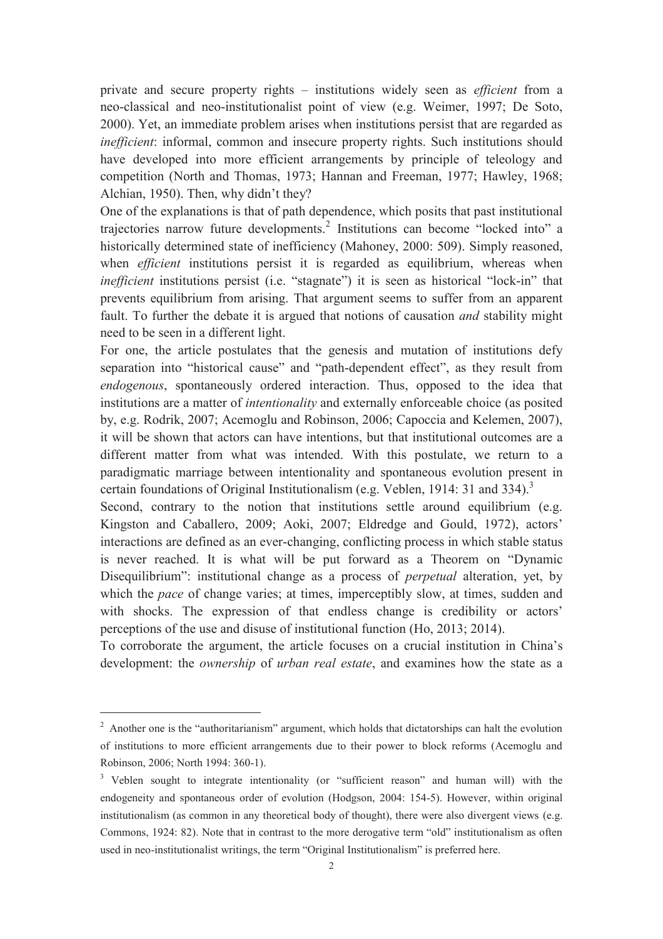private and secure property rights – institutions widely seen as *efficient* from a neo-classical and neo-institutionalist point of view (e.g. Weimer, 1997; De Soto, 2000). Yet, an immediate problem arises when institutions persist that are regarded as *inefficient*: informal, common and insecure property rights. Such institutions should have developed into more efficient arrangements by principle of teleology and competition (North and Thomas, 1973; Hannan and Freeman, 1977; Hawley, 1968; Alchian, 1950). Then, why didn't they?

One of the explanations is that of path dependence, which posits that past institutional trajectories narrow future developments.<sup>2</sup> Institutions can become "locked into" a historically determined state of inefficiency (Mahoney, 2000: 509). Simply reasoned, when *efficient* institutions persist it is regarded as equilibrium, whereas when *inefficient* institutions persist (i.e. "stagnate") it is seen as historical "lock-in" that prevents equilibrium from arising. That argument seems to suffer from an apparent fault. To further the debate it is argued that notions of causation *and* stability might need to be seen in a different light.

For one, the article postulates that the genesis and mutation of institutions defy separation into "historical cause" and "path-dependent effect", as they result from *endogenous*, spontaneously ordered interaction. Thus, opposed to the idea that institutions are a matter of *intentionality* and externally enforceable choice (as posited by, e.g. Rodrik, 2007; Acemoglu and Robinson, 2006; Capoccia and Kelemen, 2007), it will be shown that actors can have intentions, but that institutional outcomes are a different matter from what was intended. With this postulate, we return to a paradigmatic marriage between intentionality and spontaneous evolution present in certain foundations of Original Institutionalism (e.g. Veblen, 1914: 31 and 334).<sup>3</sup>

Second, contrary to the notion that institutions settle around equilibrium (e.g. Kingston and Caballero, 2009; Aoki, 2007; Eldredge and Gould, 1972), actors' interactions are defined as an ever-changing, conflicting process in which stable status is never reached. It is what will be put forward as a Theorem on "Dynamic Disequilibrium": institutional change as a process of *perpetual* alteration, yet, by which the *pace* of change varies; at times, imperceptibly slow, at times, sudden and with shocks. The expression of that endless change is credibility or actors' perceptions of the use and disuse of institutional function (Ho, 2013; 2014).

To corroborate the argument, the article focuses on a crucial institution in China's development: the *ownership* of *urban real estate*, and examines how the state as a

<sup>&</sup>lt;sup>2</sup> Another one is the "authoritarianism" argument, which holds that dictatorships can halt the evolution of institutions to more efficient arrangements due to their power to block reforms (Acemoglu and Robinson, 2006; North 1994: 360-1).

<sup>&</sup>lt;sup>3</sup> Veblen sought to integrate intentionality (or "sufficient reason" and human will) with the endogeneity and spontaneous order of evolution (Hodgson, 2004: 154-5). However, within original institutionalism (as common in any theoretical body of thought), there were also divergent views (e.g. Commons, 1924: 82). Note that in contrast to the more derogative term "old" institutionalism as often used in neo-institutionalist writings, the term "Original Institutionalism" is preferred here.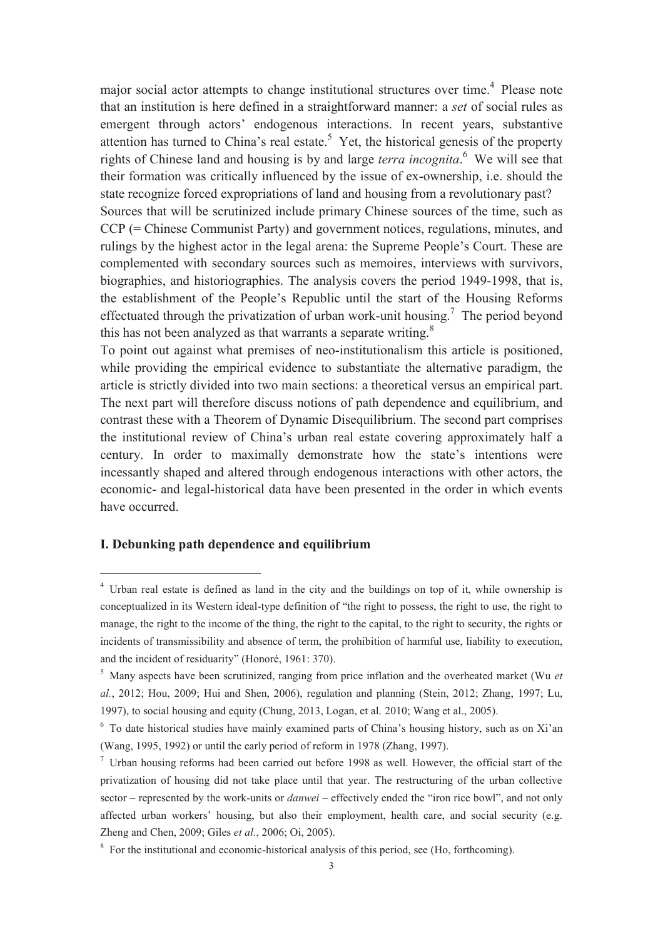major social actor attempts to change institutional structures over time.<sup>4</sup> Please note that an institution is here defined in a straightforward manner: a *set* of social rules as emergent through actors' endogenous interactions. In recent years, substantive attention has turned to China's real estate.<sup>5</sup> Yet, the historical genesis of the property rights of Chinese land and housing is by and large *terra incognita*. 6 We will see that their formation was critically influenced by the issue of ex-ownership, i.e. should the state recognize forced expropriations of land and housing from a revolutionary past? Sources that will be scrutinized include primary Chinese sources of the time, such as CCP (= Chinese Communist Party) and government notices, regulations, minutes, and

rulings by the highest actor in the legal arena: the Supreme People's Court. These are complemented with secondary sources such as memoires, interviews with survivors, biographies, and historiographies. The analysis covers the period 1949-1998, that is, the establishment of the People's Republic until the start of the Housing Reforms effectuated through the privatization of urban work-unit housing.<sup>7</sup> The period beyond this has not been analyzed as that warrants a separate writing. $8$ 

To point out against what premises of neo-institutionalism this article is positioned, while providing the empirical evidence to substantiate the alternative paradigm, the article is strictly divided into two main sections: a theoretical versus an empirical part. The next part will therefore discuss notions of path dependence and equilibrium, and contrast these with a Theorem of Dynamic Disequilibrium. The second part comprises the institutional review of China's urban real estate covering approximately half a century. In order to maximally demonstrate how the state's intentions were incessantly shaped and altered through endogenous interactions with other actors, the economic- and legal-historical data have been presented in the order in which events have occurred.

#### **I. Debunking path dependence and equilibrium**

<sup>&</sup>lt;sup>4</sup> Urban real estate is defined as land in the city and the buildings on top of it, while ownership is conceptualized in its Western ideal-type definition of "the right to possess, the right to use, the right to manage, the right to the income of the thing, the right to the capital, to the right to security, the rights or incidents of transmissibility and absence of term, the prohibition of harmful use, liability to execution, and the incident of residuarity" (Honoré, 1961: 370).

<sup>5</sup> Many aspects have been scrutinized, ranging from price inflation and the overheated market (Wu *et al.*, 2012; Hou, 2009; Hui and Shen, 2006), regulation and planning (Stein, 2012; Zhang, 1997; Lu, 1997), to social housing and equity (Chung, 2013, Logan, et al. 2010; Wang et al., 2005).

<sup>&</sup>lt;sup>6</sup> To date historical studies have mainly examined parts of China's housing history, such as on Xi'an (Wang, 1995, 1992) or until the early period of reform in 1978 (Zhang, 1997).

 $7$  Urban housing reforms had been carried out before 1998 as well. However, the official start of the privatization of housing did not take place until that year. The restructuring of the urban collective sector – represented by the work-units or *danwei* – effectively ended the "iron rice bowl", and not only affected urban workers' housing, but also their employment, health care, and social security (e.g. Zheng and Chen, 2009; Giles *et al.*, 2006; Oi, 2005).

<sup>&</sup>lt;sup>8</sup> For the institutional and economic-historical analysis of this period, see (Ho, forthcoming).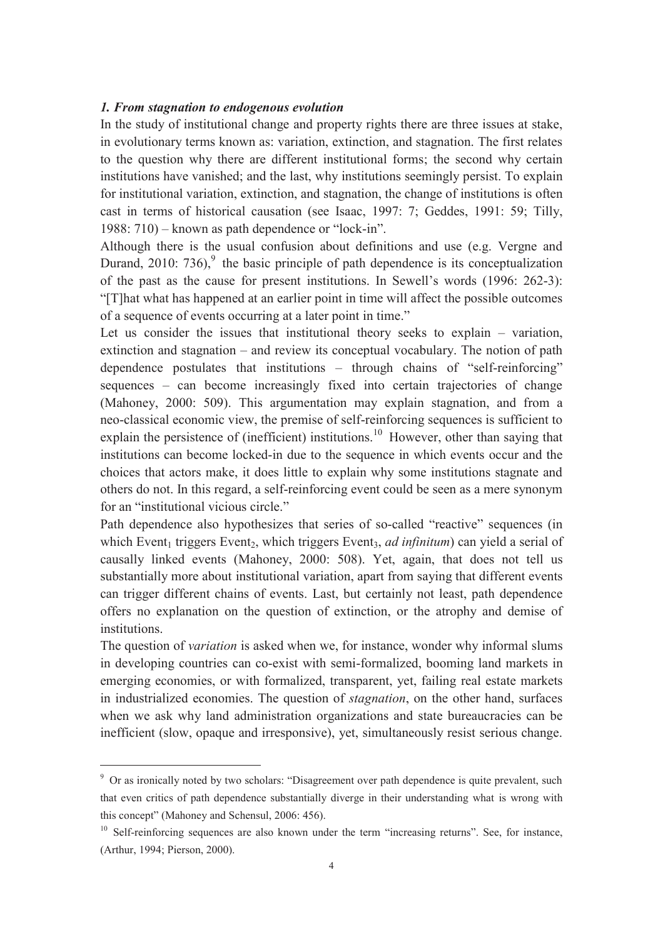#### *1. From stagnation to endogenous evolution*

In the study of institutional change and property rights there are three issues at stake, in evolutionary terms known as: variation, extinction, and stagnation. The first relates to the question why there are different institutional forms; the second why certain institutions have vanished; and the last, why institutions seemingly persist. To explain for institutional variation, extinction, and stagnation, the change of institutions is often cast in terms of historical causation (see Isaac, 1997: 7; Geddes, 1991: 59; Tilly, 1988: 710) – known as path dependence or "lock-in".

Although there is the usual confusion about definitions and use (e.g. Vergne and Durand, 2010: 736), $9$  the basic principle of path dependence is its conceptualization of the past as the cause for present institutions. In Sewell's words (1996: 262-3): "[T]hat what has happened at an earlier point in time will affect the possible outcomes of a sequence of events occurring at a later point in time."

Let us consider the issues that institutional theory seeks to explain – variation, extinction and stagnation – and review its conceptual vocabulary. The notion of path dependence postulates that institutions – through chains of "self-reinforcing" sequences – can become increasingly fixed into certain trajectories of change (Mahoney, 2000: 509). This argumentation may explain stagnation, and from a neo-classical economic view, the premise of self-reinforcing sequences is sufficient to explain the persistence of (inefficient) institutions.<sup>10</sup> However, other than saying that institutions can become locked-in due to the sequence in which events occur and the choices that actors make, it does little to explain why some institutions stagnate and others do not. In this regard, a self-reinforcing event could be seen as a mere synonym for an "institutional vicious circle."

Path dependence also hypothesizes that series of so-called "reactive" sequences (in which Event<sub>1</sub> triggers Event<sub>2</sub>, which triggers Event<sub>3</sub>, *ad infinitum*) can yield a serial of causally linked events (Mahoney, 2000: 508). Yet, again, that does not tell us substantially more about institutional variation, apart from saying that different events can trigger different chains of events. Last, but certainly not least, path dependence offers no explanation on the question of extinction, or the atrophy and demise of institutions.

The question of *variation* is asked when we, for instance, wonder why informal slums in developing countries can co-exist with semi-formalized, booming land markets in emerging economies, or with formalized, transparent, yet, failing real estate markets in industrialized economies. The question of *stagnation*, on the other hand, surfaces when we ask why land administration organizations and state bureaucracies can be inefficient (slow, opaque and irresponsive), yet, simultaneously resist serious change.

<sup>&</sup>lt;sup>9</sup> Or as ironically noted by two scholars: "Disagreement over path dependence is quite prevalent, such that even critics of path dependence substantially diverge in their understanding what is wrong with this concept" (Mahoney and Schensul, 2006: 456).

<sup>&</sup>lt;sup>10</sup> Self-reinforcing sequences are also known under the term "increasing returns". See, for instance, (Arthur, 1994; Pierson, 2000).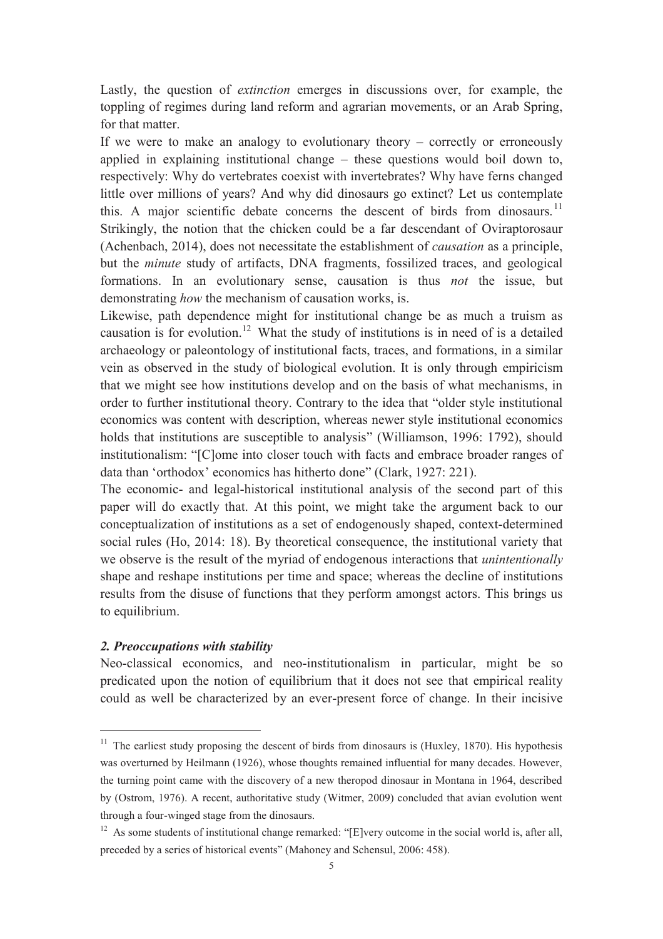Lastly, the question of *extinction* emerges in discussions over, for example, the toppling of regimes during land reform and agrarian movements, or an Arab Spring, for that matter.

If we were to make an analogy to evolutionary theory – correctly or erroneously applied in explaining institutional change – these questions would boil down to, respectively: Why do vertebrates coexist with invertebrates? Why have ferns changed little over millions of years? And why did dinosaurs go extinct? Let us contemplate this. A major scientific debate concerns the descent of birds from dinosaurs.<sup>11</sup> Strikingly, the notion that the chicken could be a far descendant of Oviraptorosaur (Achenbach, 2014), does not necessitate the establishment of *causation* as a principle, but the *minute* study of artifacts, DNA fragments, fossilized traces, and geological formations. In an evolutionary sense, causation is thus *not* the issue, but demonstrating *how* the mechanism of causation works, is.

Likewise, path dependence might for institutional change be as much a truism as causation is for evolution.<sup>12</sup> What the study of institutions is in need of is a detailed archaeology or paleontology of institutional facts, traces, and formations, in a similar vein as observed in the study of biological evolution. It is only through empiricism that we might see how institutions develop and on the basis of what mechanisms, in order to further institutional theory. Contrary to the idea that "older style institutional economics was content with description, whereas newer style institutional economics holds that institutions are susceptible to analysis" (Williamson, 1996: 1792), should institutionalism: "[C]ome into closer touch with facts and embrace broader ranges of data than 'orthodox' economics has hitherto done" (Clark, 1927: 221).

The economic- and legal-historical institutional analysis of the second part of this paper will do exactly that. At this point, we might take the argument back to our conceptualization of institutions as a set of endogenously shaped, context-determined social rules (Ho, 2014: 18). By theoretical consequence, the institutional variety that we observe is the result of the myriad of endogenous interactions that *unintentionally* shape and reshape institutions per time and space; whereas the decline of institutions results from the disuse of functions that they perform amongst actors. This brings us to equilibrium.

#### *2. Preoccupations with stability*

 $\overline{a}$ 

Neo-classical economics, and neo-institutionalism in particular, might be so predicated upon the notion of equilibrium that it does not see that empirical reality could as well be characterized by an ever-present force of change. In their incisive

<sup>&</sup>lt;sup>11</sup> The earliest study proposing the descent of birds from dinosaurs is (Huxley, 1870). His hypothesis was overturned by Heilmann (1926), whose thoughts remained influential for many decades. However, the turning point came with the discovery of a new theropod dinosaur in Montana in 1964, described by (Ostrom, 1976). A recent, authoritative study (Witmer, 2009) concluded that avian evolution went through a four-winged stage from the dinosaurs.

<sup>&</sup>lt;sup>12</sup> As some students of institutional change remarked: "[E]very outcome in the social world is, after all, preceded by a series of historical events" (Mahoney and Schensul, 2006: 458).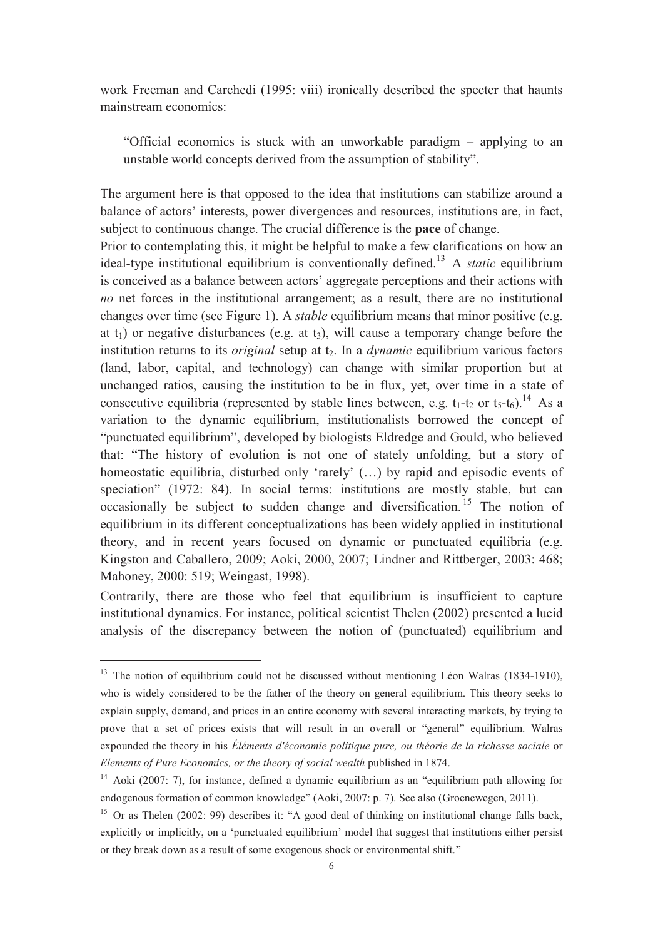work Freeman and Carchedi (1995: viii) ironically described the specter that haunts mainstream economics:

"Official economics is stuck with an unworkable paradigm – applying to an unstable world concepts derived from the assumption of stability".

The argument here is that opposed to the idea that institutions can stabilize around a balance of actors' interests, power divergences and resources, institutions are, in fact, subject to continuous change. The crucial difference is the **pace** of change.

Prior to contemplating this, it might be helpful to make a few clarifications on how an ideal-type institutional equilibrium is conventionally defined.<sup>13</sup> A *static* equilibrium is conceived as a balance between actors' aggregate perceptions and their actions with *no* net forces in the institutional arrangement; as a result, there are no institutional changes over time (see Figure 1). A *stable* equilibrium means that minor positive (e.g. at  $t_1$ ) or negative disturbances (e.g. at  $t_3$ ), will cause a temporary change before the institution returns to its *original* setup at t<sub>2</sub>. In a *dynamic* equilibrium various factors (land, labor, capital, and technology) can change with similar proportion but at unchanged ratios, causing the institution to be in flux, yet, over time in a state of consecutive equilibria (represented by stable lines between, e.g.  $t_1-t_2$  or  $t_5-t_6$ ).<sup>14</sup> As a variation to the dynamic equilibrium, institutionalists borrowed the concept of "punctuated equilibrium", developed by biologists Eldredge and Gould, who believed that: "The history of evolution is not one of stately unfolding, but a story of homeostatic equilibria, disturbed only 'rarely' (...) by rapid and episodic events of speciation" (1972: 84). In social terms: institutions are mostly stable, but can occasionally be subject to sudden change and diversification. <sup>15</sup> The notion of equilibrium in its different conceptualizations has been widely applied in institutional theory, and in recent years focused on dynamic or punctuated equilibria (e.g. Kingston and Caballero, 2009; Aoki, 2000, 2007; Lindner and Rittberger, 2003: 468; Mahoney, 2000: 519; Weingast, 1998).

Contrarily, there are those who feel that equilibrium is insufficient to capture institutional dynamics. For instance, political scientist Thelen (2002) presented a lucid analysis of the discrepancy between the notion of (punctuated) equilibrium and

<sup>&</sup>lt;sup>13</sup> The notion of equilibrium could not be discussed without mentioning Léon Walras (1834-1910), who is widely considered to be the father of the theory on general equilibrium. This theory seeks to explain supply, demand, and prices in an entire economy with several interacting markets, by trying to prove that a set of prices exists that will result in an overall or "general" equilibrium. Walras expounded the theory in his *Éléments d'économie politique pure, ou théorie de la richesse sociale* or *Elements of Pure Economics, or the theory of social wealth* published in 1874.

<sup>&</sup>lt;sup>14</sup> Aoki (2007: 7), for instance, defined a dynamic equilibrium as an "equilibrium path allowing for endogenous formation of common knowledge" (Aoki, 2007: p. 7). See also (Groenewegen, 2011).

<sup>&</sup>lt;sup>15</sup> Or as Thelen (2002: 99) describes it: "A good deal of thinking on institutional change falls back, explicitly or implicitly, on a 'punctuated equilibrium' model that suggest that institutions either persist or they break down as a result of some exogenous shock or environmental shift."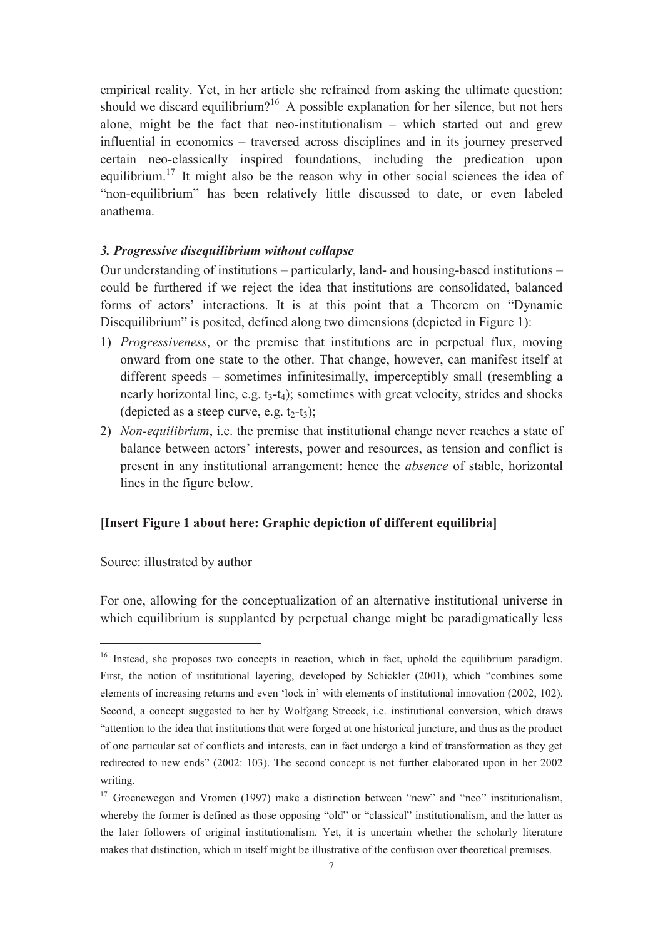empirical reality. Yet, in her article she refrained from asking the ultimate question: should we discard equilibrium?<sup>16</sup> A possible explanation for her silence, but not hers alone, might be the fact that neo-institutionalism – which started out and grew influential in economics – traversed across disciplines and in its journey preserved certain neo-classically inspired foundations, including the predication upon equilibrium.<sup>17</sup> It might also be the reason why in other social sciences the idea of "non-equilibrium" has been relatively little discussed to date, or even labeled anathema.

#### *3. Progressive disequilibrium without collapse*

Our understanding of institutions – particularly, land- and housing-based institutions – could be furthered if we reject the idea that institutions are consolidated, balanced forms of actors' interactions. It is at this point that a Theorem on "Dynamic Disequilibrium" is posited, defined along two dimensions (depicted in Figure 1):

- 1) *Progressiveness*, or the premise that institutions are in perpetual flux, moving onward from one state to the other. That change, however, can manifest itself at different speeds – sometimes infinitesimally, imperceptibly small (resembling a nearly horizontal line, e.g.  $t_3-t_4$ ); sometimes with great velocity, strides and shocks (depicted as a steep curve, e.g.  $t_2-t_3$ );
- 2) *Non-equilibrium*, i.e. the premise that institutional change never reaches a state of balance between actors' interests, power and resources, as tension and conflict is present in any institutional arrangement: hence the *absence* of stable, horizontal lines in the figure below.

# **[Insert Figure 1 about here: Graphic depiction of different equilibria]**

Source: illustrated by author

 $\overline{a}$ 

For one, allowing for the conceptualization of an alternative institutional universe in which equilibrium is supplanted by perpetual change might be paradigmatically less

<sup>&</sup>lt;sup>16</sup> Instead, she proposes two concepts in reaction, which in fact, uphold the equilibrium paradigm. First, the notion of institutional layering, developed by Schickler (2001), which "combines some elements of increasing returns and even 'lock in' with elements of institutional innovation (2002, 102). Second, a concept suggested to her by Wolfgang Streeck, i.e. institutional conversion, which draws "attention to the idea that institutions that were forged at one historical juncture, and thus as the product of one particular set of conflicts and interests, can in fact undergo a kind of transformation as they get redirected to new ends" (2002: 103). The second concept is not further elaborated upon in her 2002 writing.

<sup>&</sup>lt;sup>17</sup> Groenewegen and Vromen (1997) make a distinction between "new" and "neo" institutionalism, whereby the former is defined as those opposing "old" or "classical" institutionalism, and the latter as the later followers of original institutionalism. Yet, it is uncertain whether the scholarly literature makes that distinction, which in itself might be illustrative of the confusion over theoretical premises.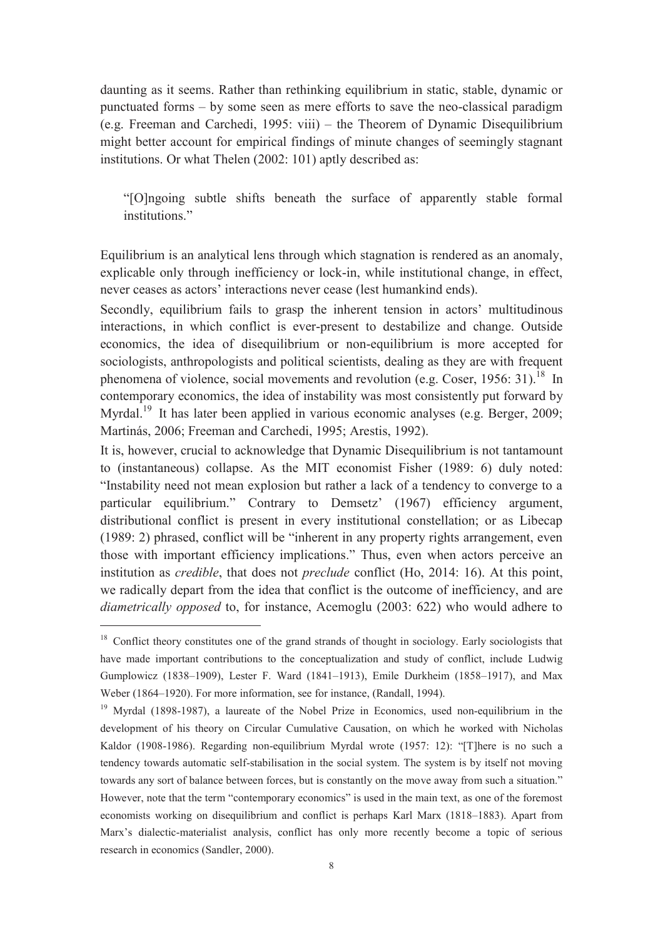daunting as it seems. Rather than rethinking equilibrium in static, stable, dynamic or punctuated forms – by some seen as mere efforts to save the neo-classical paradigm (e.g. Freeman and Carchedi, 1995: viii) – the Theorem of Dynamic Disequilibrium might better account for empirical findings of minute changes of seemingly stagnant institutions. Or what Thelen (2002: 101) aptly described as:

"[O]ngoing subtle shifts beneath the surface of apparently stable formal institutions."

Equilibrium is an analytical lens through which stagnation is rendered as an anomaly, explicable only through inefficiency or lock-in, while institutional change, in effect, never ceases as actors' interactions never cease (lest humankind ends).

Secondly, equilibrium fails to grasp the inherent tension in actors' multitudinous interactions, in which conflict is ever-present to destabilize and change. Outside economics, the idea of disequilibrium or non-equilibrium is more accepted for sociologists, anthropologists and political scientists, dealing as they are with frequent phenomena of violence, social movements and revolution (e.g. Coser, 1956: 31).<sup>18</sup> In contemporary economics, the idea of instability was most consistently put forward by Myrdal.<sup>19</sup> It has later been applied in various economic analyses (e.g. Berger, 2009; Martinás, 2006; Freeman and Carchedi, 1995; Arestis, 1992).

It is, however, crucial to acknowledge that Dynamic Disequilibrium is not tantamount to (instantaneous) collapse. As the MIT economist Fisher (1989: 6) duly noted: "Instability need not mean explosion but rather a lack of a tendency to converge to a particular equilibrium." Contrary to Demsetz' (1967) efficiency argument, distributional conflict is present in every institutional constellation; or as Libecap (1989: 2) phrased, conflict will be "inherent in any property rights arrangement, even those with important efficiency implications." Thus, even when actors perceive an institution as *credible*, that does not *preclude* conflict (Ho, 2014: 16). At this point, we radically depart from the idea that conflict is the outcome of inefficiency, and are *diametrically opposed* to, for instance, Acemoglu (2003: 622) who would adhere to

<sup>&</sup>lt;sup>18</sup> Conflict theory constitutes one of the grand strands of thought in sociology. Early sociologists that have made important contributions to the conceptualization and study of conflict, include Ludwig Gumplowicz (1838–1909), Lester F. Ward (1841–1913), Emile Durkheim (1858–1917), and Max Weber (1864–1920). For more information, see for instance, (Randall, 1994).

<sup>&</sup>lt;sup>19</sup> Myrdal (1898-1987), a laureate of the Nobel Prize in Economics, used non-equilibrium in the development of his theory on Circular Cumulative Causation, on which he worked with Nicholas Kaldor (1908-1986). Regarding non-equilibrium Myrdal wrote (1957: 12): "[T]here is no such a tendency towards automatic self-stabilisation in the social system. The system is by itself not moving towards any sort of balance between forces, but is constantly on the move away from such a situation." However, note that the term "contemporary economics" is used in the main text, as one of the foremost economists working on disequilibrium and conflict is perhaps Karl Marx (1818–1883). Apart from Marx's dialectic-materialist analysis, conflict has only more recently become a topic of serious research in economics (Sandler, 2000).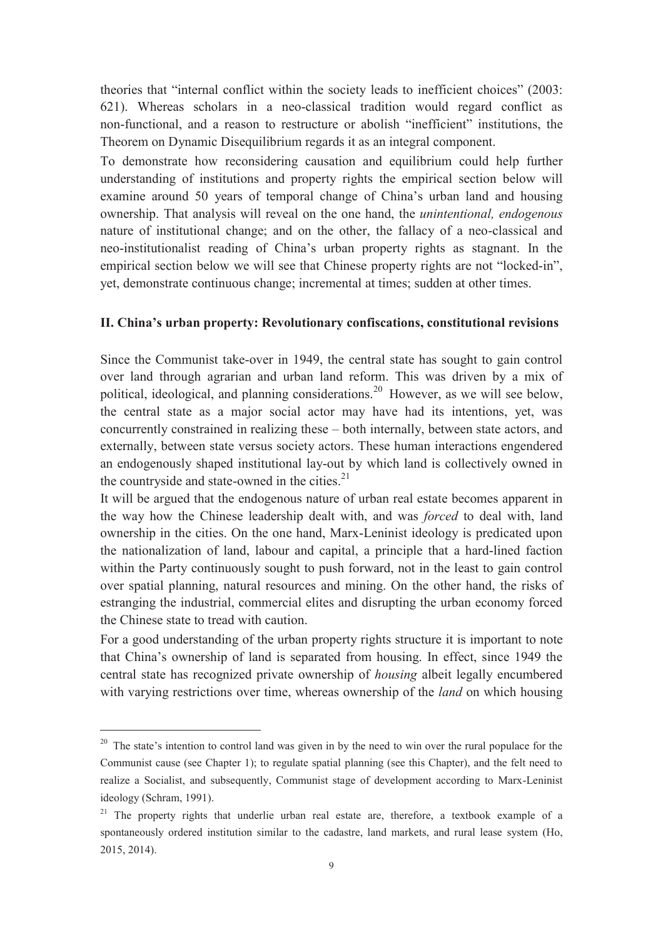theories that "internal conflict within the society leads to inefficient choices" (2003: 621). Whereas scholars in a neo-classical tradition would regard conflict as non-functional, and a reason to restructure or abolish "inefficient" institutions, the Theorem on Dynamic Disequilibrium regards it as an integral component.

To demonstrate how reconsidering causation and equilibrium could help further understanding of institutions and property rights the empirical section below will examine around 50 years of temporal change of China's urban land and housing ownership. That analysis will reveal on the one hand, the *unintentional, endogenous* nature of institutional change; and on the other, the fallacy of a neo-classical and neo-institutionalist reading of China's urban property rights as stagnant. In the empirical section below we will see that Chinese property rights are not "locked-in", yet, demonstrate continuous change; incremental at times; sudden at other times.

#### **II. China's urban property: Revolutionary confiscations, constitutional revisions**

Since the Communist take-over in 1949, the central state has sought to gain control over land through agrarian and urban land reform. This was driven by a mix of political, ideological, and planning considerations.<sup>20</sup> However, as we will see below, the central state as a major social actor may have had its intentions, yet, was concurrently constrained in realizing these – both internally, between state actors, and externally, between state versus society actors. These human interactions engendered an endogenously shaped institutional lay-out by which land is collectively owned in the countryside and state-owned in the cities. $21$ 

It will be argued that the endogenous nature of urban real estate becomes apparent in the way how the Chinese leadership dealt with, and was *forced* to deal with, land ownership in the cities. On the one hand, Marx-Leninist ideology is predicated upon the nationalization of land, labour and capital, a principle that a hard-lined faction within the Party continuously sought to push forward, not in the least to gain control over spatial planning, natural resources and mining. On the other hand, the risks of estranging the industrial, commercial elites and disrupting the urban economy forced the Chinese state to tread with caution.

For a good understanding of the urban property rights structure it is important to note that China's ownership of land is separated from housing. In effect, since 1949 the central state has recognized private ownership of *housing* albeit legally encumbered with varying restrictions over time, whereas ownership of the *land* on which housing

<sup>&</sup>lt;sup>20</sup> The state's intention to control land was given in by the need to win over the rural populace for the Communist cause (see Chapter 1); to regulate spatial planning (see this Chapter), and the felt need to realize a Socialist, and subsequently, Communist stage of development according to Marx-Leninist ideology (Schram, 1991).

 $21$  The property rights that underlie urban real estate are, therefore, a textbook example of a spontaneously ordered institution similar to the cadastre, land markets, and rural lease system (Ho, 2015, 2014).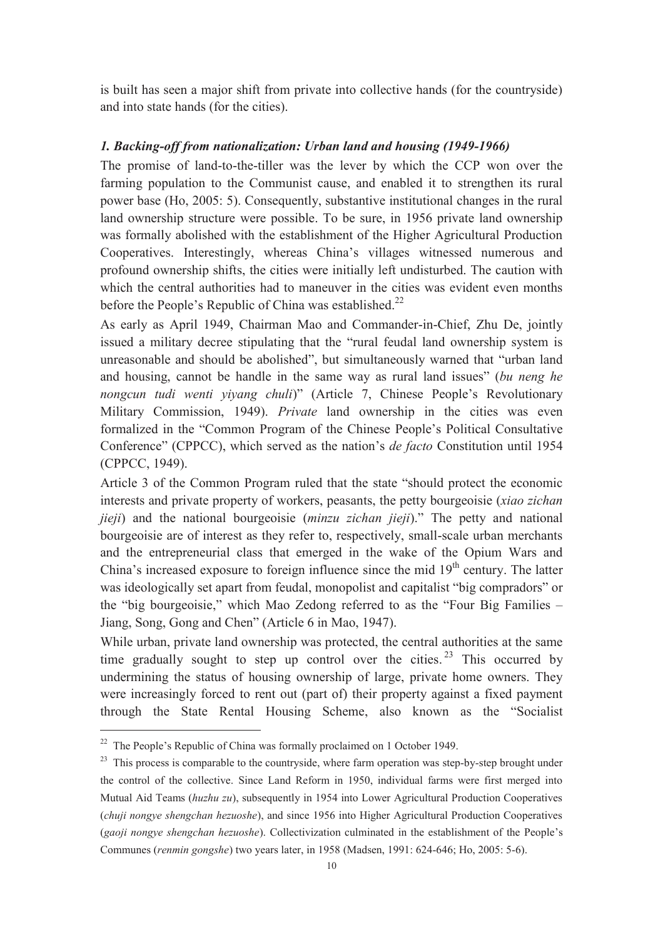is built has seen a major shift from private into collective hands (for the countryside) and into state hands (for the cities).

## *1. Backing-off from nationalization: Urban land and housing (1949-1966)*

The promise of land-to-the-tiller was the lever by which the CCP won over the farming population to the Communist cause, and enabled it to strengthen its rural power base (Ho, 2005: 5). Consequently, substantive institutional changes in the rural land ownership structure were possible. To be sure, in 1956 private land ownership was formally abolished with the establishment of the Higher Agricultural Production Cooperatives. Interestingly, whereas China's villages witnessed numerous and profound ownership shifts, the cities were initially left undisturbed. The caution with which the central authorities had to maneuver in the cities was evident even months before the People's Republic of China was established.<sup>22</sup>

As early as April 1949, Chairman Mao and Commander-in-Chief, Zhu De, jointly issued a military decree stipulating that the "rural feudal land ownership system is unreasonable and should be abolished", but simultaneously warned that "urban land and housing, cannot be handle in the same way as rural land issues" (*bu neng he nongcun tudi wenti yiyang chuli*)" (Article 7, Chinese People's Revolutionary Military Commission, 1949). *Private* land ownership in the cities was even formalized in the "Common Program of the Chinese People's Political Consultative Conference" (CPPCC), which served as the nation's *de facto* Constitution until 1954 (CPPCC, 1949).

Article 3 of the Common Program ruled that the state "should protect the economic interests and private property of workers, peasants, the petty bourgeoisie (*xiao zichan jieji*) and the national bourgeoisie (*minzu zichan jieji*)." The petty and national bourgeoisie are of interest as they refer to, respectively, small-scale urban merchants and the entrepreneurial class that emerged in the wake of the Opium Wars and China's increased exposure to foreign influence since the mid  $19<sup>th</sup>$  century. The latter was ideologically set apart from feudal, monopolist and capitalist "big compradors" or the "big bourgeoisie," which Mao Zedong referred to as the "Four Big Families – Jiang, Song, Gong and Chen" (Article 6 in Mao, 1947).

While urban, private land ownership was protected, the central authorities at the same time gradually sought to step up control over the cities.<sup>23</sup> This occurred by undermining the status of housing ownership of large, private home owners. They were increasingly forced to rent out (part of) their property against a fixed payment through the State Rental Housing Scheme, also known as the "Socialist

<sup>&</sup>lt;sup>22</sup> The People's Republic of China was formally proclaimed on 1 October 1949.

 $23$  This process is comparable to the countryside, where farm operation was step-by-step brought under the control of the collective. Since Land Reform in 1950, individual farms were first merged into Mutual Aid Teams (*huzhu zu*), subsequently in 1954 into Lower Agricultural Production Cooperatives (*chuji nongye shengchan hezuoshe*), and since 1956 into Higher Agricultural Production Cooperatives (*gaoji nongye shengchan hezuoshe*). Collectivization culminated in the establishment of the People's Communes (*renmin gongshe*) two years later, in 1958 (Madsen, 1991: 624-646; Ho, 2005: 5-6).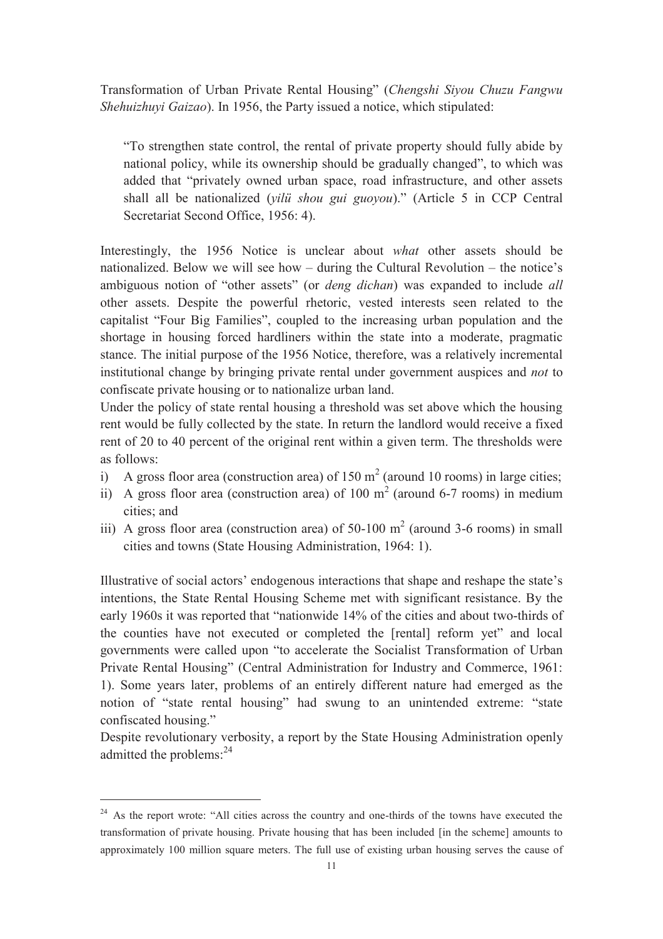Transformation of Urban Private Rental Housing" (*Chengshi Siyou Chuzu Fangwu Shehuizhuyi Gaizao*). In 1956, the Party issued a notice, which stipulated:

"To strengthen state control, the rental of private property should fully abide by national policy, while its ownership should be gradually changed", to which was added that "privately owned urban space, road infrastructure, and other assets shall all be nationalized (*yilü shou gui guoyou*)." (Article 5 in CCP Central Secretariat Second Office, 1956: 4).

Interestingly, the 1956 Notice is unclear about *what* other assets should be nationalized. Below we will see how – during the Cultural Revolution – the notice's ambiguous notion of "other assets" (or *deng dichan*) was expanded to include *all* other assets. Despite the powerful rhetoric, vested interests seen related to the capitalist "Four Big Families", coupled to the increasing urban population and the shortage in housing forced hardliners within the state into a moderate, pragmatic stance. The initial purpose of the 1956 Notice, therefore, was a relatively incremental institutional change by bringing private rental under government auspices and *not* to confiscate private housing or to nationalize urban land.

Under the policy of state rental housing a threshold was set above which the housing rent would be fully collected by the state. In return the landlord would receive a fixed rent of 20 to 40 percent of the original rent within a given term. The thresholds were as follows:

- i) A gross floor area (construction area) of 150  $m<sup>2</sup>$  (around 10 rooms) in large cities;
- ii) A gross floor area (construction area) of 100  $m<sup>2</sup>$  (around 6-7 rooms) in medium cities; and
- iii) A gross floor area (construction area) of  $50-100 \text{ m}^2$  (around 3-6 rooms) in small cities and towns (State Housing Administration, 1964: 1).

Illustrative of social actors' endogenous interactions that shape and reshape the state's intentions, the State Rental Housing Scheme met with significant resistance. By the early 1960s it was reported that "nationwide 14% of the cities and about two-thirds of the counties have not executed or completed the [rental] reform yet" and local governments were called upon "to accelerate the Socialist Transformation of Urban Private Rental Housing" (Central Administration for Industry and Commerce, 1961: 1). Some years later, problems of an entirely different nature had emerged as the notion of "state rental housing" had swung to an unintended extreme: "state confiscated housing."

Despite revolutionary verbosity, a report by the State Housing Administration openly admitted the problems: $24$ 

<sup>&</sup>lt;sup>24</sup> As the report wrote: "All cities across the country and one-thirds of the towns have executed the transformation of private housing. Private housing that has been included [in the scheme] amounts to approximately 100 million square meters. The full use of existing urban housing serves the cause of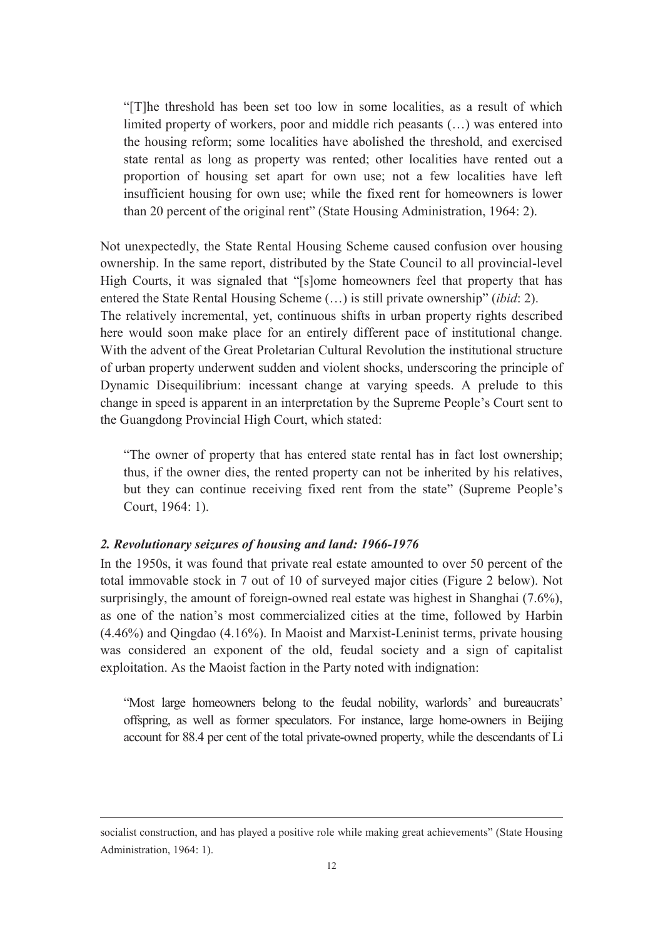"[T]he threshold has been set too low in some localities, as a result of which limited property of workers, poor and middle rich peasants (…) was entered into the housing reform; some localities have abolished the threshold, and exercised state rental as long as property was rented; other localities have rented out a proportion of housing set apart for own use; not a few localities have left insufficient housing for own use; while the fixed rent for homeowners is lower than 20 percent of the original rent" (State Housing Administration, 1964: 2).

Not unexpectedly, the State Rental Housing Scheme caused confusion over housing ownership. In the same report, distributed by the State Council to all provincial-level High Courts, it was signaled that "[s]ome homeowners feel that property that has entered the State Rental Housing Scheme (…) is still private ownership" (*ibid*: 2). The relatively incremental, yet, continuous shifts in urban property rights described here would soon make place for an entirely different pace of institutional change. With the advent of the Great Proletarian Cultural Revolution the institutional structure of urban property underwent sudden and violent shocks, underscoring the principle of Dynamic Disequilibrium: incessant change at varying speeds. A prelude to this change in speed is apparent in an interpretation by the Supreme People's Court sent to the Guangdong Provincial High Court, which stated:

"The owner of property that has entered state rental has in fact lost ownership; thus, if the owner dies, the rented property can not be inherited by his relatives, but they can continue receiving fixed rent from the state" (Supreme People's Court, 1964: 1).

#### *2. Revolutionary seizures of housing and land: 1966-1976*

 $\overline{a}$ 

In the 1950s, it was found that private real estate amounted to over 50 percent of the total immovable stock in 7 out of 10 of surveyed major cities (Figure 2 below). Not surprisingly, the amount of foreign-owned real estate was highest in Shanghai (7.6%), as one of the nation's most commercialized cities at the time, followed by Harbin (4.46%) and Qingdao (4.16%). In Maoist and Marxist-Leninist terms, private housing was considered an exponent of the old, feudal society and a sign of capitalist exploitation. As the Maoist faction in the Party noted with indignation:

"Most large homeowners belong to the feudal nobility, warlords' and bureaucrats' offspring, as well as former speculators. For instance, large home-owners in Beijing account for 88.4 per cent of the total private-owned property, while the descendants of Li

socialist construction, and has played a positive role while making great achievements" (State Housing Administration, 1964: 1).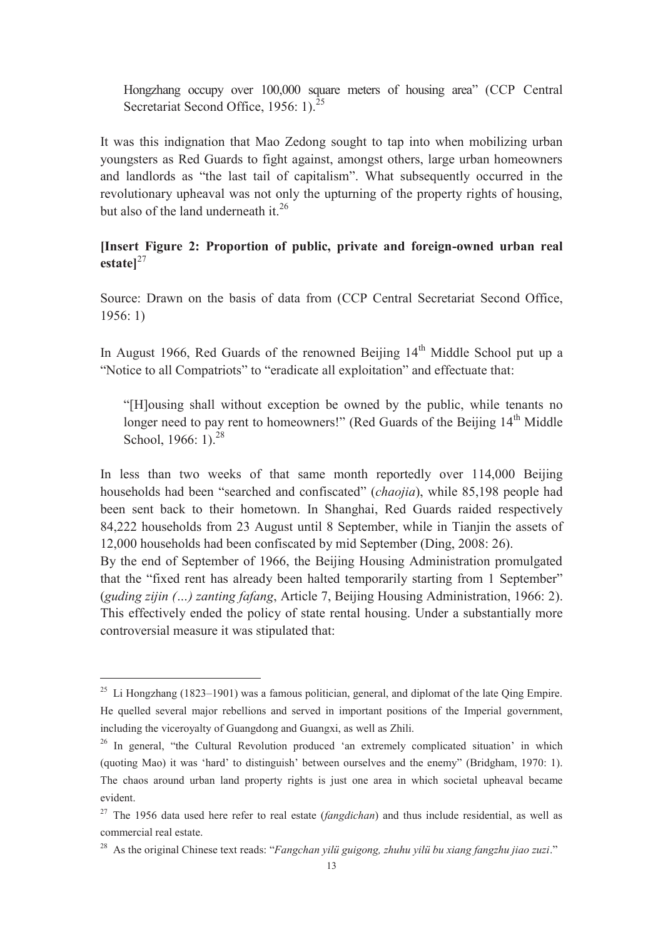Hongzhang occupy over 100,000 square meters of housing area" (CCP Central Secretariat Second Office, 1956: 1).<sup>25</sup>

It was this indignation that Mao Zedong sought to tap into when mobilizing urban youngsters as Red Guards to fight against, amongst others, large urban homeowners and landlords as "the last tail of capitalism". What subsequently occurred in the revolutionary upheaval was not only the upturning of the property rights of housing, but also of the land underneath it. $^{26}$ 

# **[Insert Figure 2: Proportion of public, private and foreign-owned urban real estate]**<sup>27</sup>

Source: Drawn on the basis of data from (CCP Central Secretariat Second Office, 1956: 1)

In August 1966, Red Guards of the renowned Beijing  $14<sup>th</sup>$  Middle School put up a "Notice to all Compatriots" to "eradicate all exploitation" and effectuate that:

"[H]ousing shall without exception be owned by the public, while tenants no longer need to pay rent to homeowners!" (Red Guards of the Beijing  $14<sup>th</sup>$  Middle School, 1966: 1).<sup>28</sup>

In less than two weeks of that same month reportedly over 114,000 Beijing households had been "searched and confiscated" (*chaojia*), while 85,198 people had been sent back to their hometown. In Shanghai, Red Guards raided respectively 84,222 households from 23 August until 8 September, while in Tianjin the assets of 12,000 households had been confiscated by mid September (Ding, 2008: 26).

By the end of September of 1966, the Beijing Housing Administration promulgated that the "fixed rent has already been halted temporarily starting from 1 September" (*guding zijin (…) zanting fafang*, Article 7, Beijing Housing Administration, 1966: 2). This effectively ended the policy of state rental housing. Under a substantially more controversial measure it was stipulated that:

<sup>&</sup>lt;sup>25</sup> Li Hongzhang (1823–1901) was a famous politician, general, and diplomat of the late Oing Empire. He quelled several major rebellions and served in important positions of the Imperial government, including the viceroyalty of Guangdong and Guangxi, as well as Zhili.

<sup>&</sup>lt;sup>26</sup> In general, "the Cultural Revolution produced 'an extremely complicated situation' in which (quoting Mao) it was 'hard' to distinguish' between ourselves and the enemy" (Bridgham, 1970: 1). The chaos around urban land property rights is just one area in which societal upheaval became evident.

<sup>27</sup> The 1956 data used here refer to real estate (*fangdichan*) and thus include residential, as well as commercial real estate.

<sup>28</sup> As the original Chinese text reads: "*Fangchan yilü guigong, zhuhu yilü bu xiang fangzhu jiao zuzi*."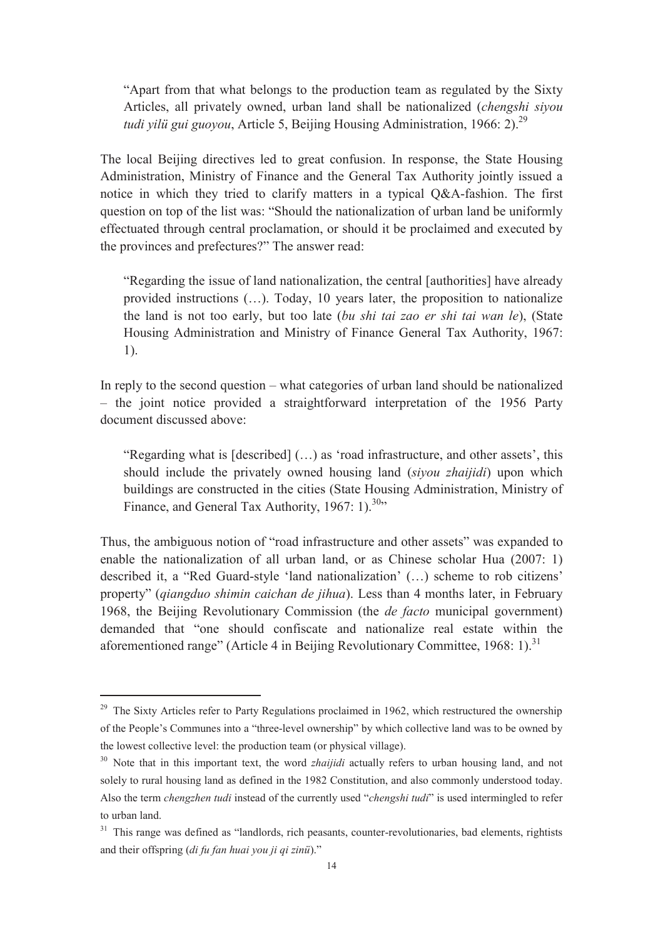"Apart from that what belongs to the production team as regulated by the Sixty Articles, all privately owned, urban land shall be nationalized (*chengshi siyou tudi yilü gui guoyou*, Article 5, Beijing Housing Administration, 1966: 2).<sup>29</sup>

The local Beijing directives led to great confusion. In response, the State Housing Administration, Ministry of Finance and the General Tax Authority jointly issued a notice in which they tried to clarify matters in a typical Q&A-fashion. The first question on top of the list was: "Should the nationalization of urban land be uniformly effectuated through central proclamation, or should it be proclaimed and executed by the provinces and prefectures?" The answer read:

"Regarding the issue of land nationalization, the central [authorities] have already provided instructions (…). Today, 10 years later, the proposition to nationalize the land is not too early, but too late (*bu shi tai zao er shi tai wan le*), (State Housing Administration and Ministry of Finance General Tax Authority, 1967: 1).

In reply to the second question – what categories of urban land should be nationalized – the joint notice provided a straightforward interpretation of the 1956 Party document discussed above:

"Regarding what is [described] (…) as 'road infrastructure, and other assets', this should include the privately owned housing land (*siyou zhaijidi*) upon which buildings are constructed in the cities (State Housing Administration, Ministry of Finance, and General Tax Authority,  $1967: 1$ .<sup>30</sup><sup>30</sup></sub>

Thus, the ambiguous notion of "road infrastructure and other assets" was expanded to enable the nationalization of all urban land, or as Chinese scholar Hua (2007: 1) described it, a "Red Guard-style 'land nationalization' (…) scheme to rob citizens' property" (*qiangduo shimin caichan de jihua*). Less than 4 months later, in February 1968, the Beijing Revolutionary Commission (the *de facto* municipal government) demanded that "one should confiscate and nationalize real estate within the aforementioned range" (Article 4 in Beijing Revolutionary Committee, 1968: 1).<sup>31</sup>

 $29$  The Sixty Articles refer to Party Regulations proclaimed in 1962, which restructured the ownership of the People's Communes into a "three-level ownership" by which collective land was to be owned by the lowest collective level: the production team (or physical village).

<sup>&</sup>lt;sup>30</sup> Note that in this important text, the word *zhaijidi* actually refers to urban housing land, and not solely to rural housing land as defined in the 1982 Constitution, and also commonly understood today. Also the term *chengzhen tudi* instead of the currently used "*chengshi tudi*" is used intermingled to refer to urban land.

<sup>&</sup>lt;sup>31</sup> This range was defined as "landlords, rich peasants, counter-revolutionaries, bad elements, rightists and their offspring (*di fu fan huai you ji qi zinü*)."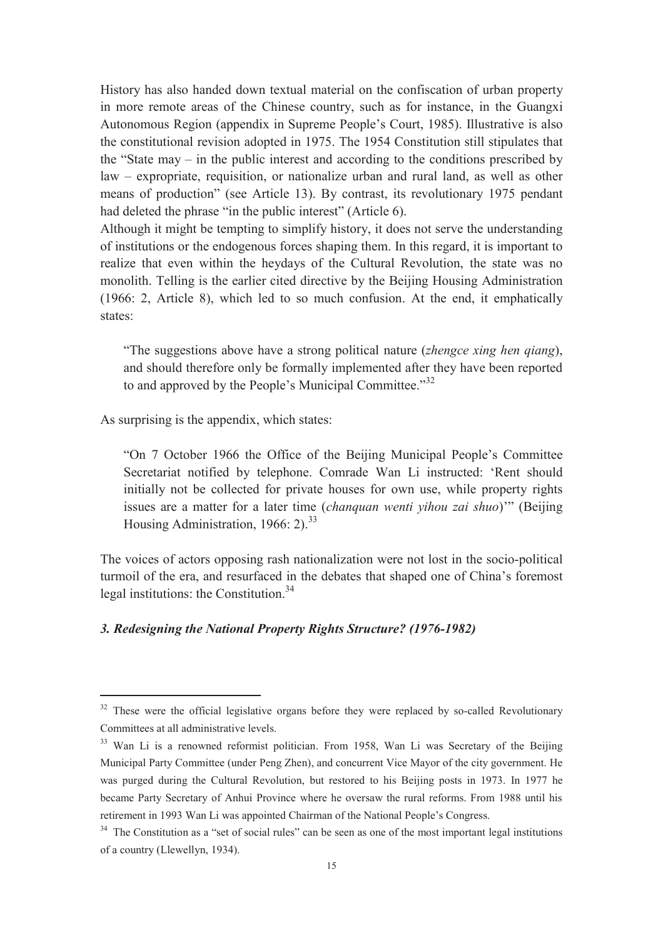History has also handed down textual material on the confiscation of urban property in more remote areas of the Chinese country, such as for instance, in the Guangxi Autonomous Region (appendix in Supreme People's Court, 1985). Illustrative is also the constitutional revision adopted in 1975. The 1954 Constitution still stipulates that the "State may – in the public interest and according to the conditions prescribed by law – expropriate, requisition, or nationalize urban and rural land, as well as other means of production" (see Article 13). By contrast, its revolutionary 1975 pendant had deleted the phrase "in the public interest" (Article 6).

Although it might be tempting to simplify history, it does not serve the understanding of institutions or the endogenous forces shaping them. In this regard, it is important to realize that even within the heydays of the Cultural Revolution, the state was no monolith. Telling is the earlier cited directive by the Beijing Housing Administration (1966: 2, Article 8), which led to so much confusion. At the end, it emphatically states:

"The suggestions above have a strong political nature (*zhengce xing hen qiang*), and should therefore only be formally implemented after they have been reported to and approved by the People's Municipal Committee."32

As surprising is the appendix, which states:

 $\overline{a}$ 

"On 7 October 1966 the Office of the Beijing Municipal People's Committee Secretariat notified by telephone. Comrade Wan Li instructed: 'Rent should initially not be collected for private houses for own use, while property rights issues are a matter for a later time (*chanquan wenti yihou zai shuo*)'" (Beijing Housing Administration,  $1966: 2$ ).<sup>33</sup>

The voices of actors opposing rash nationalization were not lost in the socio-political turmoil of the era, and resurfaced in the debates that shaped one of China's foremost legal institutions: the Constitution. $34$ 

## *3. Redesigning the National Property Rights Structure? (1976-1982)*

<sup>&</sup>lt;sup>32</sup> These were the official legislative organs before they were replaced by so-called Revolutionary Committees at all administrative levels.

<sup>&</sup>lt;sup>33</sup> Wan Li is a renowned reformist politician. From 1958, Wan Li was Secretary of the Beijing Municipal Party Committee (under Peng Zhen), and concurrent Vice Mayor of the city government. He was purged during the Cultural Revolution, but restored to his Beijing posts in 1973. In 1977 he became Party Secretary of Anhui Province where he oversaw the rural reforms. From 1988 until his retirement in 1993 Wan Li was appointed Chairman of the National People's Congress.

<sup>&</sup>lt;sup>34</sup> The Constitution as a "set of social rules" can be seen as one of the most important legal institutions of a country (Llewellyn, 1934).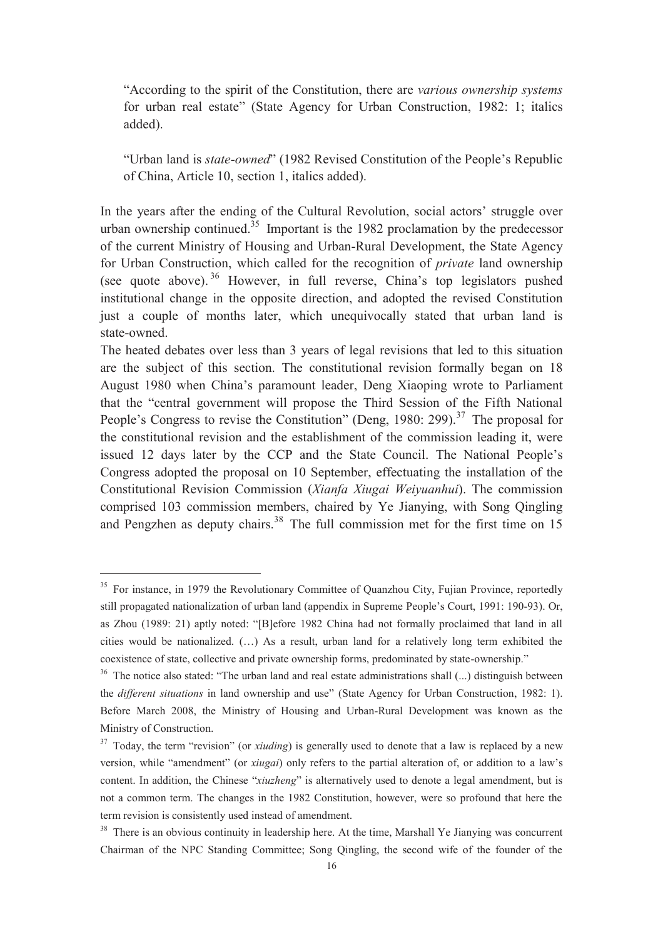"According to the spirit of the Constitution, there are *various ownership systems* for urban real estate" (State Agency for Urban Construction, 1982: 1; italics added).

"Urban land is *state-owned*" (1982 Revised Constitution of the People's Republic of China, Article 10, section 1, italics added).

In the years after the ending of the Cultural Revolution, social actors' struggle over urban ownership continued.<sup>35</sup> Important is the 1982 proclamation by the predecessor of the current Ministry of Housing and Urban-Rural Development, the State Agency for Urban Construction, which called for the recognition of *private* land ownership (see quote above). <sup>36</sup> However, in full reverse, China's top legislators pushed institutional change in the opposite direction, and adopted the revised Constitution just a couple of months later, which unequivocally stated that urban land is state-owned.

The heated debates over less than 3 years of legal revisions that led to this situation are the subject of this section. The constitutional revision formally began on 18 August 1980 when China's paramount leader, Deng Xiaoping wrote to Parliament that the "central government will propose the Third Session of the Fifth National People's Congress to revise the Constitution" (Deng, 1980: 299).<sup>37</sup> The proposal for the constitutional revision and the establishment of the commission leading it, were issued 12 days later by the CCP and the State Council. The National People's Congress adopted the proposal on 10 September, effectuating the installation of the Constitutional Revision Commission (*Xianfa Xiugai Weiyuanhui*). The commission comprised 103 commission members, chaired by Ye Jianying, with Song Qingling and Pengzhen as deputy chairs.<sup>38</sup> The full commission met for the first time on  $15$ 

<sup>&</sup>lt;sup>35</sup> For instance, in 1979 the Revolutionary Committee of Quanzhou City, Fujian Province, reportedly still propagated nationalization of urban land (appendix in Supreme People's Court, 1991: 190-93). Or, as Zhou (1989: 21) aptly noted: "[B]efore 1982 China had not formally proclaimed that land in all cities would be nationalized. (…) As a result, urban land for a relatively long term exhibited the coexistence of state, collective and private ownership forms, predominated by state-ownership."

<sup>&</sup>lt;sup>36</sup> The notice also stated: "The urban land and real estate administrations shall (...) distinguish between the *different situations* in land ownership and use" (State Agency for Urban Construction, 1982: 1). Before March 2008, the Ministry of Housing and Urban-Rural Development was known as the Ministry of Construction.

<sup>&</sup>lt;sup>37</sup> Today, the term "revision" (or *xiuding*) is generally used to denote that a law is replaced by a new version, while "amendment" (or *xiugai*) only refers to the partial alteration of, or addition to a law's content. In addition, the Chinese "*xiuzheng*" is alternatively used to denote a legal amendment, but is not a common term. The changes in the 1982 Constitution, however, were so profound that here the term revision is consistently used instead of amendment.

<sup>&</sup>lt;sup>38</sup> There is an obvious continuity in leadership here. At the time, Marshall Ye Jianying was concurrent Chairman of the NPC Standing Committee; Song Qingling, the second wife of the founder of the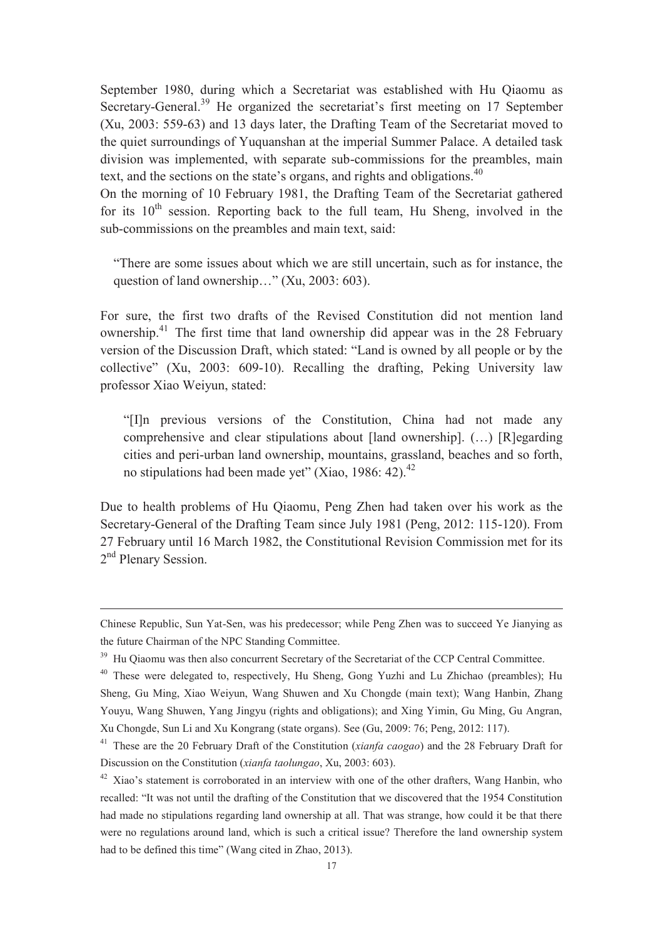September 1980, during which a Secretariat was established with Hu Qiaomu as Secretary-General.<sup>39</sup> He organized the secretariat's first meeting on 17 September (Xu, 2003: 559-63) and 13 days later, the Drafting Team of the Secretariat moved to the quiet surroundings of Yuquanshan at the imperial Summer Palace. A detailed task division was implemented, with separate sub-commissions for the preambles, main text, and the sections on the state's organs, and rights and obligations.<sup>40</sup>

On the morning of 10 February 1981, the Drafting Team of the Secretariat gathered for its  $10<sup>th</sup>$  session. Reporting back to the full team, Hu Sheng, involved in the sub-commissions on the preambles and main text, said:

"There are some issues about which we are still uncertain, such as for instance, the question of land ownership…" (Xu, 2003: 603).

For sure, the first two drafts of the Revised Constitution did not mention land ownership.<sup>41</sup> The first time that land ownership did appear was in the 28 February version of the Discussion Draft, which stated: "Land is owned by all people or by the collective" (Xu, 2003: 609-10). Recalling the drafting, Peking University law professor Xiao Weiyun, stated:

"[I]n previous versions of the Constitution, China had not made any comprehensive and clear stipulations about [land ownership]. (…) [R]egarding cities and peri-urban land ownership, mountains, grassland, beaches and so forth, no stipulations had been made yet" (Xiao, 1986: 42).<sup>42</sup>

Due to health problems of Hu Qiaomu, Peng Zhen had taken over his work as the Secretary-General of the Drafting Team since July 1981 (Peng, 2012: 115-120). From 27 February until 16 March 1982, the Constitutional Revision Commission met for its 2<sup>nd</sup> Plenary Session.

Chinese Republic, Sun Yat-Sen, was his predecessor; while Peng Zhen was to succeed Ye Jianying as the future Chairman of the NPC Standing Committee.

<sup>&</sup>lt;sup>39</sup> Hu Qiaomu was then also concurrent Secretary of the Secretariat of the CCP Central Committee.

<sup>&</sup>lt;sup>40</sup> These were delegated to, respectively, Hu Sheng, Gong Yuzhi and Lu Zhichao (preambles); Hu Sheng, Gu Ming, Xiao Weiyun, Wang Shuwen and Xu Chongde (main text); Wang Hanbin, Zhang Youyu, Wang Shuwen, Yang Jingyu (rights and obligations); and Xing Yimin, Gu Ming, Gu Angran, Xu Chongde, Sun Li and Xu Kongrang (state organs). See (Gu, 2009: 76; Peng, 2012: 117).

<sup>41</sup> These are the 20 February Draft of the Constitution (*xianfa caogao*) and the 28 February Draft for Discussion on the Constitution (*xianfa taolungao*, Xu, 2003: 603).

<sup>&</sup>lt;sup>42</sup> Xiao's statement is corroborated in an interview with one of the other drafters, Wang Hanbin, who recalled: "It was not until the drafting of the Constitution that we discovered that the 1954 Constitution had made no stipulations regarding land ownership at all. That was strange, how could it be that there were no regulations around land, which is such a critical issue? Therefore the land ownership system had to be defined this time" (Wang cited in Zhao, 2013).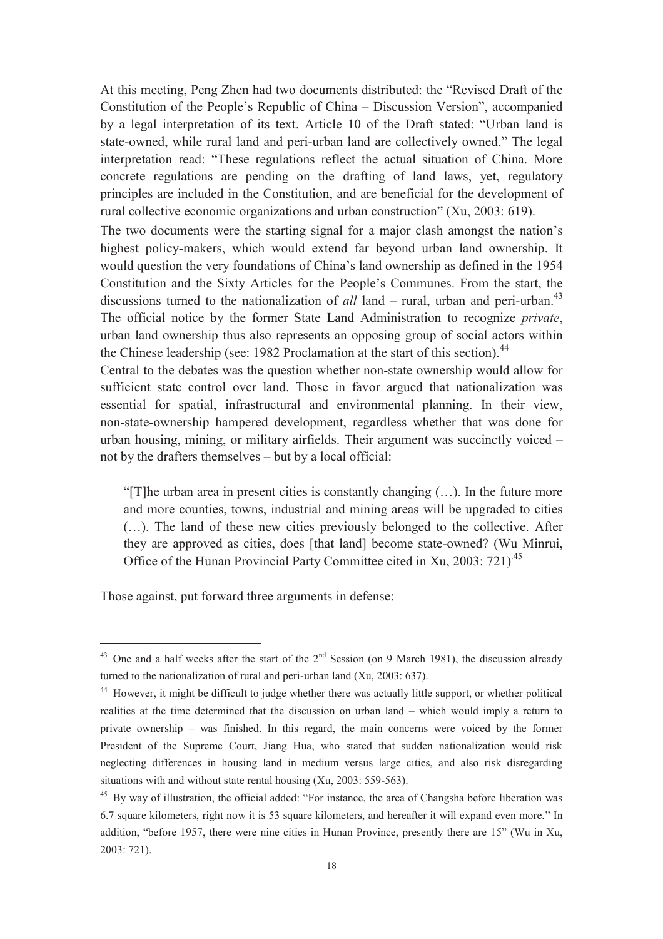At this meeting, Peng Zhen had two documents distributed: the "Revised Draft of the Constitution of the People's Republic of China – Discussion Version", accompanied by a legal interpretation of its text. Article 10 of the Draft stated: "Urban land is state-owned, while rural land and peri-urban land are collectively owned." The legal interpretation read: "These regulations reflect the actual situation of China. More concrete regulations are pending on the drafting of land laws, yet, regulatory principles are included in the Constitution, and are beneficial for the development of rural collective economic organizations and urban construction" (Xu, 2003: 619).

The two documents were the starting signal for a major clash amongst the nation's highest policy-makers, which would extend far beyond urban land ownership. It would question the very foundations of China's land ownership as defined in the 1954 Constitution and the Sixty Articles for the People's Communes. From the start, the discussions turned to the nationalization of  $all$  land – rural, urban and peri-urban.<sup>43</sup> The official notice by the former State Land Administration to recognize *private*, urban land ownership thus also represents an opposing group of social actors within the Chinese leadership (see: 1982 Proclamation at the start of this section).<sup>44</sup>

Central to the debates was the question whether non-state ownership would allow for sufficient state control over land. Those in favor argued that nationalization was essential for spatial, infrastructural and environmental planning. In their view, non-state-ownership hampered development, regardless whether that was done for urban housing, mining, or military airfields. Their argument was succinctly voiced – not by the drafters themselves – but by a local official:

"[T]he urban area in present cities is constantly changing (…). In the future more and more counties, towns, industrial and mining areas will be upgraded to cities (…). The land of these new cities previously belonged to the collective. After they are approved as cities, does [that land] become state-owned? (Wu Minrui, Office of the Hunan Provincial Party Committee cited in Xu, 2003: 721)<sup>45</sup>

Those against, put forward three arguments in defense:

<sup>&</sup>lt;sup>43</sup> One and a half weeks after the start of the  $2<sup>nd</sup>$  Session (on 9 March 1981), the discussion already turned to the nationalization of rural and peri-urban land (Xu, 2003: 637).

<sup>&</sup>lt;sup>44</sup> However, it might be difficult to judge whether there was actually little support, or whether political realities at the time determined that the discussion on urban land – which would imply a return to private ownership – was finished. In this regard, the main concerns were voiced by the former President of the Supreme Court, Jiang Hua, who stated that sudden nationalization would risk neglecting differences in housing land in medium versus large cities, and also risk disregarding situations with and without state rental housing (Xu, 2003: 559-563).

<sup>&</sup>lt;sup>45</sup> By way of illustration, the official added: "For instance, the area of Changsha before liberation was 6.7 square kilometers, right now it is 53 square kilometers, and hereafter it will expand even more." In addition, "before 1957, there were nine cities in Hunan Province, presently there are 15" (Wu in Xu, 2003: 721).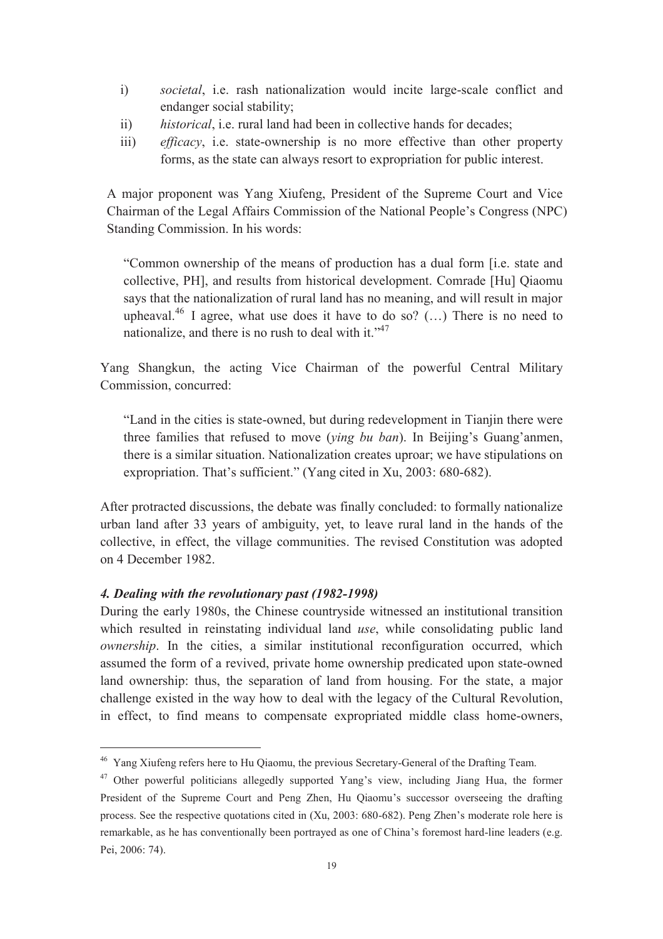- i) *societal*, i.e. rash nationalization would incite large-scale conflict and endanger social stability;
- ii) *historical*, i.e. rural land had been in collective hands for decades;
- iii) *efficacy*, i.e. state-ownership is no more effective than other property forms, as the state can always resort to expropriation for public interest.

A major proponent was Yang Xiufeng, President of the Supreme Court and Vice Chairman of the Legal Affairs Commission of the National People's Congress (NPC) Standing Commission. In his words:

"Common ownership of the means of production has a dual form [i.e. state and collective, PH], and results from historical development. Comrade [Hu] Qiaomu says that the nationalization of rural land has no meaning, and will result in major upheaval.<sup>46</sup> I agree, what use does it have to do so?  $(...)$  There is no need to nationalize, and there is no rush to deal with it."<sup>47</sup>

Yang Shangkun, the acting Vice Chairman of the powerful Central Military Commission, concurred:

"Land in the cities is state-owned, but during redevelopment in Tianjin there were three families that refused to move (*ying bu ban*). In Beijing's Guang'anmen, there is a similar situation. Nationalization creates uproar; we have stipulations on expropriation. That's sufficient." (Yang cited in Xu, 2003: 680-682).

After protracted discussions, the debate was finally concluded: to formally nationalize urban land after 33 years of ambiguity, yet, to leave rural land in the hands of the collective, in effect, the village communities. The revised Constitution was adopted on 4 December 1982.

#### *4. Dealing with the revolutionary past (1982-1998)*

-

During the early 1980s, the Chinese countryside witnessed an institutional transition which resulted in reinstating individual land *use*, while consolidating public land *ownership*. In the cities, a similar institutional reconfiguration occurred, which assumed the form of a revived, private home ownership predicated upon state-owned land ownership: thus, the separation of land from housing. For the state, a major challenge existed in the way how to deal with the legacy of the Cultural Revolution, in effect, to find means to compensate expropriated middle class home-owners,

<sup>&</sup>lt;sup>46</sup> Yang Xiufeng refers here to Hu Qiaomu, the previous Secretary-General of the Drafting Team.

 $47$  Other powerful politicians allegedly supported Yang's view, including Jiang Hua, the former President of the Supreme Court and Peng Zhen, Hu Qiaomu's successor overseeing the drafting process. See the respective quotations cited in (Xu, 2003: 680-682). Peng Zhen's moderate role here is remarkable, as he has conventionally been portrayed as one of China's foremost hard-line leaders (e.g. Pei, 2006: 74).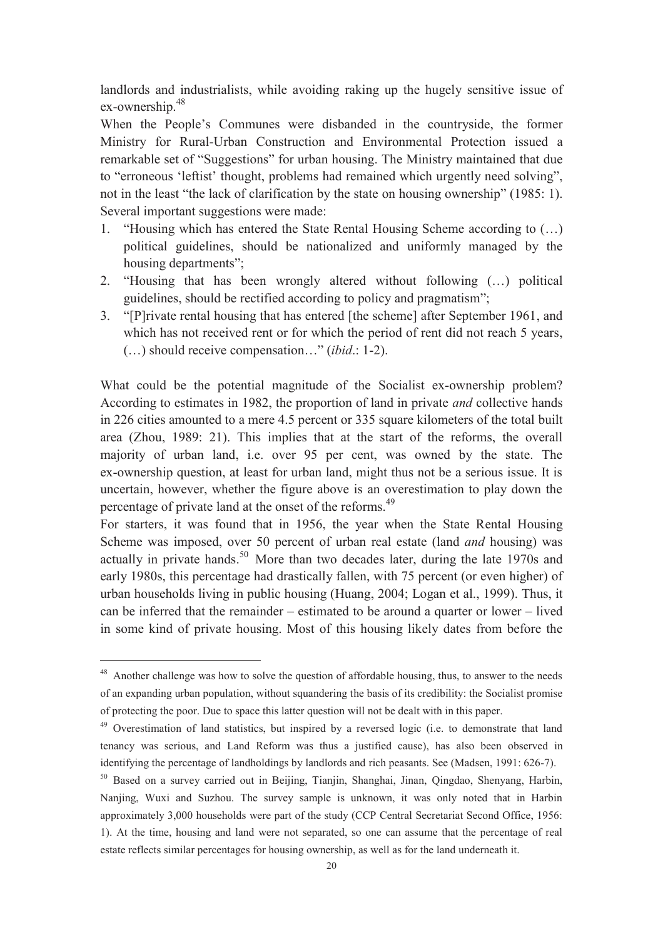landlords and industrialists, while avoiding raking up the hugely sensitive issue of ex-ownership.<sup>48</sup>

When the People's Communes were disbanded in the countryside, the former Ministry for Rural-Urban Construction and Environmental Protection issued a remarkable set of "Suggestions" for urban housing. The Ministry maintained that due to "erroneous 'leftist' thought, problems had remained which urgently need solving", not in the least "the lack of clarification by the state on housing ownership" (1985: 1). Several important suggestions were made:

- 1. "Housing which has entered the State Rental Housing Scheme according to (…) political guidelines, should be nationalized and uniformly managed by the housing departments";
- 2. "Housing that has been wrongly altered without following (…) political guidelines, should be rectified according to policy and pragmatism";
- 3. "[P]rivate rental housing that has entered [the scheme] after September 1961, and which has not received rent or for which the period of rent did not reach 5 years, (…) should receive compensation…" (*ibid*.: 1-2).

What could be the potential magnitude of the Socialist ex-ownership problem? According to estimates in 1982, the proportion of land in private *and* collective hands in 226 cities amounted to a mere 4.5 percent or 335 square kilometers of the total built area (Zhou, 1989: 21). This implies that at the start of the reforms, the overall majority of urban land, i.e. over 95 per cent, was owned by the state. The ex-ownership question, at least for urban land, might thus not be a serious issue. It is uncertain, however, whether the figure above is an overestimation to play down the percentage of private land at the onset of the reforms.<sup>49</sup>

For starters, it was found that in 1956, the year when the State Rental Housing Scheme was imposed, over 50 percent of urban real estate (land *and* housing) was actually in private hands.<sup>50</sup> More than two decades later, during the late 1970s and early 1980s, this percentage had drastically fallen, with 75 percent (or even higher) of urban households living in public housing (Huang, 2004; Logan et al., 1999). Thus, it can be inferred that the remainder – estimated to be around a quarter or lower – lived in some kind of private housing. Most of this housing likely dates from before the

<sup>&</sup>lt;sup>48</sup> Another challenge was how to solve the question of affordable housing, thus, to answer to the needs of an expanding urban population, without squandering the basis of its credibility: the Socialist promise of protecting the poor. Due to space this latter question will not be dealt with in this paper.

<sup>&</sup>lt;sup>49</sup> Overestimation of land statistics, but inspired by a reversed logic (i.e. to demonstrate that land tenancy was serious, and Land Reform was thus a justified cause), has also been observed in identifying the percentage of landholdings by landlords and rich peasants. See (Madsen, 1991: 626-7).

<sup>50</sup> Based on a survey carried out in Beijing, Tianjin, Shanghai, Jinan, Qingdao, Shenyang, Harbin, Nanjing, Wuxi and Suzhou. The survey sample is unknown, it was only noted that in Harbin approximately 3,000 households were part of the study (CCP Central Secretariat Second Office, 1956: 1). At the time, housing and land were not separated, so one can assume that the percentage of real estate reflects similar percentages for housing ownership, as well as for the land underneath it.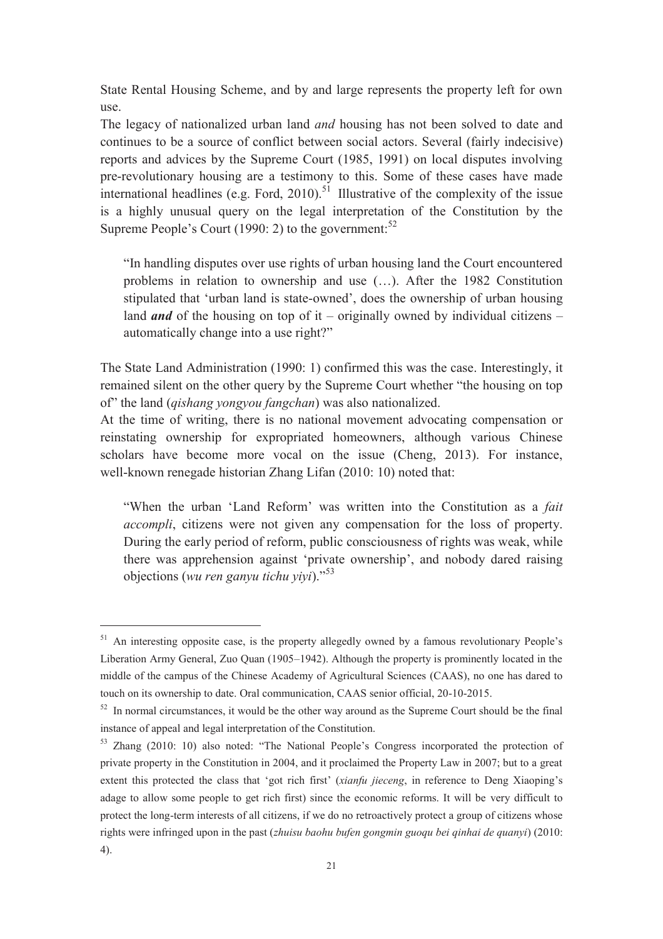State Rental Housing Scheme, and by and large represents the property left for own use.

The legacy of nationalized urban land *and* housing has not been solved to date and continues to be a source of conflict between social actors. Several (fairly indecisive) reports and advices by the Supreme Court (1985, 1991) on local disputes involving pre-revolutionary housing are a testimony to this. Some of these cases have made international headlines (e.g. Ford, 2010).<sup>51</sup> Illustrative of the complexity of the issue is a highly unusual query on the legal interpretation of the Constitution by the Supreme People's Court (1990: 2) to the government: $52$ 

"In handling disputes over use rights of urban housing land the Court encountered problems in relation to ownership and use (…). After the 1982 Constitution stipulated that 'urban land is state-owned', does the ownership of urban housing land *and* of the housing on top of it – originally owned by individual citizens – automatically change into a use right?"

The State Land Administration (1990: 1) confirmed this was the case. Interestingly, it remained silent on the other query by the Supreme Court whether "the housing on top of" the land (*qishang yongyou fangchan*) was also nationalized.

At the time of writing, there is no national movement advocating compensation or reinstating ownership for expropriated homeowners, although various Chinese scholars have become more vocal on the issue (Cheng, 2013). For instance, well-known renegade historian Zhang Lifan (2010: 10) noted that:

"When the urban 'Land Reform' was written into the Constitution as a *fait accompli*, citizens were not given any compensation for the loss of property. During the early period of reform, public consciousness of rights was weak, while there was apprehension against 'private ownership', and nobody dared raising objections (*wu ren ganyu tichu yiyi*)." 53

<sup>&</sup>lt;sup>51</sup> An interesting opposite case, is the property allegedly owned by a famous revolutionary People's Liberation Army General, Zuo Quan (1905–1942). Although the property is prominently located in the middle of the campus of the Chinese Academy of Agricultural Sciences (CAAS), no one has dared to touch on its ownership to date. Oral communication, CAAS senior official, 20-10-2015.

 $52$  In normal circumstances, it would be the other way around as the Supreme Court should be the final instance of appeal and legal interpretation of the Constitution.

<sup>53</sup> Zhang (2010: 10) also noted: "The National People's Congress incorporated the protection of private property in the Constitution in 2004, and it proclaimed the Property Law in 2007; but to a great extent this protected the class that 'got rich first' (*xianfu jieceng*, in reference to Deng Xiaoping's adage to allow some people to get rich first) since the economic reforms. It will be very difficult to protect the long-term interests of all citizens, if we do no retroactively protect a group of citizens whose rights were infringed upon in the past (*zhuisu baohu bufen gongmin guoqu bei qinhai de quanyi*) (2010: 4).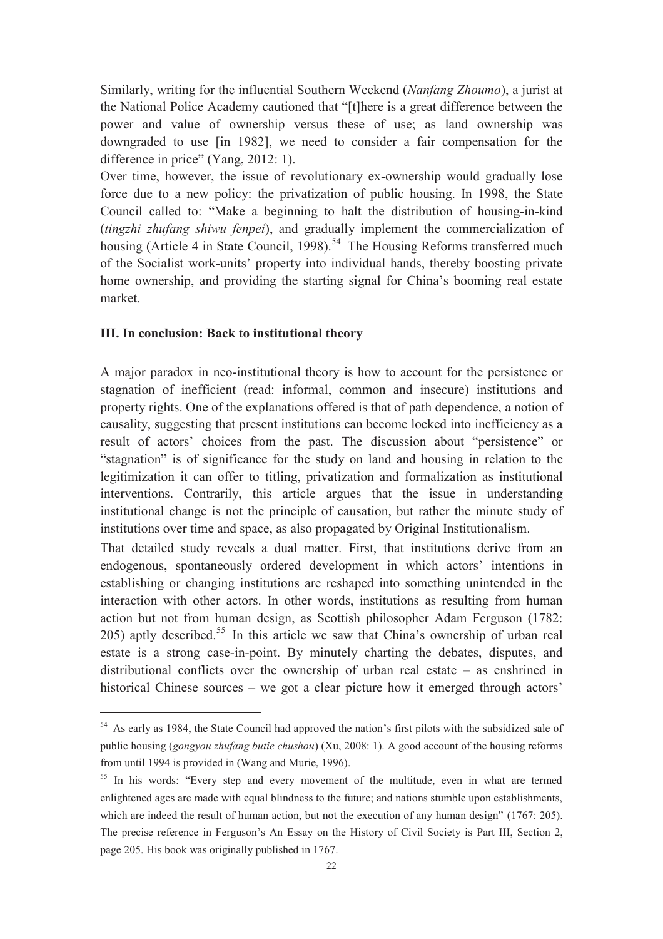Similarly, writing for the influential Southern Weekend (*Nanfang Zhoumo*), a jurist at the National Police Academy cautioned that "[t]here is a great difference between the power and value of ownership versus these of use; as land ownership was downgraded to use [in 1982], we need to consider a fair compensation for the difference in price" (Yang, 2012: 1).

Over time, however, the issue of revolutionary ex-ownership would gradually lose force due to a new policy: the privatization of public housing. In 1998, the State Council called to: "Make a beginning to halt the distribution of housing-in-kind (*tingzhi zhufang shiwu fenpei*), and gradually implement the commercialization of housing (Article 4 in State Council, 1998).<sup>54</sup> The Housing Reforms transferred much of the Socialist work-units' property into individual hands, thereby boosting private home ownership, and providing the starting signal for China's booming real estate market.

#### **III. In conclusion: Back to institutional theory**

-

A major paradox in neo-institutional theory is how to account for the persistence or stagnation of inefficient (read: informal, common and insecure) institutions and property rights. One of the explanations offered is that of path dependence, a notion of causality, suggesting that present institutions can become locked into inefficiency as a result of actors' choices from the past. The discussion about "persistence" or "stagnation" is of significance for the study on land and housing in relation to the legitimization it can offer to titling, privatization and formalization as institutional interventions. Contrarily, this article argues that the issue in understanding institutional change is not the principle of causation, but rather the minute study of institutions over time and space, as also propagated by Original Institutionalism.

That detailed study reveals a dual matter. First, that institutions derive from an endogenous, spontaneously ordered development in which actors' intentions in establishing or changing institutions are reshaped into something unintended in the interaction with other actors. In other words, institutions as resulting from human action but not from human design, as Scottish philosopher Adam Ferguson (1782: 205) aptly described.<sup>55</sup> In this article we saw that China's ownership of urban real estate is a strong case-in-point. By minutely charting the debates, disputes, and distributional conflicts over the ownership of urban real estate – as enshrined in historical Chinese sources – we got a clear picture how it emerged through actors'

<sup>54</sup> As early as 1984, the State Council had approved the nation's first pilots with the subsidized sale of public housing (*gongyou zhufang butie chushou*) (Xu, 2008: 1). A good account of the housing reforms from until 1994 is provided in (Wang and Murie, 1996).

<sup>&</sup>lt;sup>55</sup> In his words: "Every step and every movement of the multitude, even in what are termed enlightened ages are made with equal blindness to the future; and nations stumble upon establishments, which are indeed the result of human action, but not the execution of any human design" (1767: 205). The precise reference in Ferguson's An Essay on the History of Civil Society is Part III, Section 2, page 205. His book was originally published in 1767.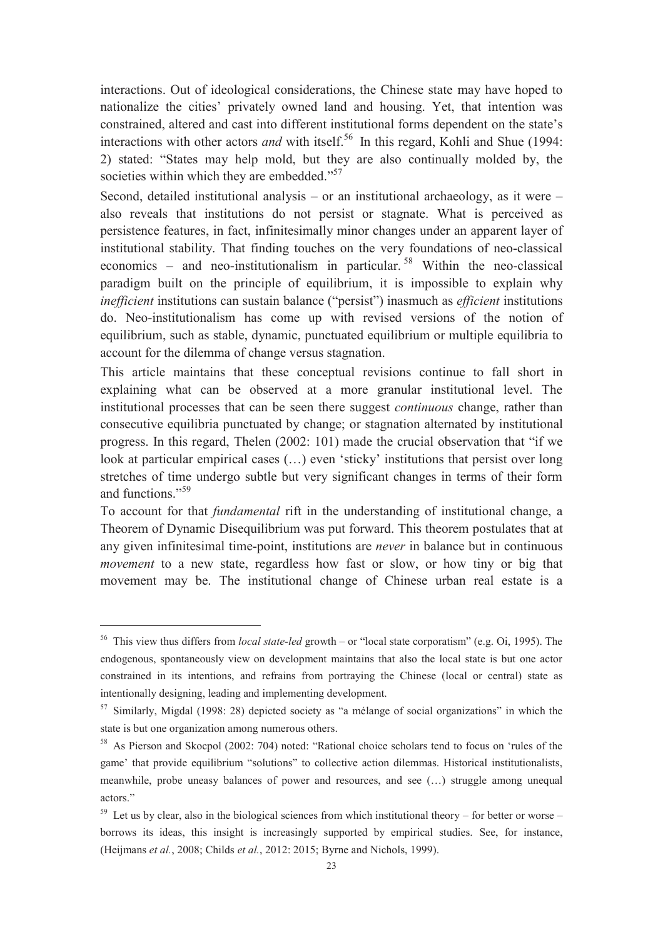interactions. Out of ideological considerations, the Chinese state may have hoped to nationalize the cities' privately owned land and housing. Yet, that intention was constrained, altered and cast into different institutional forms dependent on the state's interactions with other actors *and* with itself.<sup>56</sup> In this regard, Kohli and Shue (1994: 2) stated: "States may help mold, but they are also continually molded by, the societies within which they are embedded."<sup>57</sup>

Second, detailed institutional analysis – or an institutional archaeology, as it were – also reveals that institutions do not persist or stagnate. What is perceived as persistence features, in fact, infinitesimally minor changes under an apparent layer of institutional stability. That finding touches on the very foundations of neo-classical economics – and neo-institutionalism in particular. <sup>58</sup> Within the neo-classical paradigm built on the principle of equilibrium, it is impossible to explain why *inefficient* institutions can sustain balance ("persist") inasmuch as *efficient* institutions do. Neo-institutionalism has come up with revised versions of the notion of equilibrium, such as stable, dynamic, punctuated equilibrium or multiple equilibria to account for the dilemma of change versus stagnation.

This article maintains that these conceptual revisions continue to fall short in explaining what can be observed at a more granular institutional level. The institutional processes that can be seen there suggest *continuous* change, rather than consecutive equilibria punctuated by change; or stagnation alternated by institutional progress. In this regard, Thelen (2002: 101) made the crucial observation that "if we look at particular empirical cases (…) even 'sticky' institutions that persist over long stretches of time undergo subtle but very significant changes in terms of their form and functions."<sup>59</sup>

To account for that *fundamental* rift in the understanding of institutional change, a Theorem of Dynamic Disequilibrium was put forward. This theorem postulates that at any given infinitesimal time-point, institutions are *never* in balance but in continuous *movement* to a new state, regardless how fast or slow, or how tiny or big that movement may be. The institutional change of Chinese urban real estate is a

<sup>56</sup> This view thus differs from *local state-led* growth – or "local state corporatism" (e.g. Oi, 1995). The endogenous, spontaneously view on development maintains that also the local state is but one actor constrained in its intentions, and refrains from portraying the Chinese (local or central) state as intentionally designing, leading and implementing development.

<sup>57</sup> Similarly, Migdal (1998: 28) depicted society as "a mélange of social organizations" in which the state is but one organization among numerous others.

<sup>58</sup> As Pierson and Skocpol (2002: 704) noted: "Rational choice scholars tend to focus on 'rules of the game' that provide equilibrium "solutions" to collective action dilemmas. Historical institutionalists, meanwhile, probe uneasy balances of power and resources, and see (…) struggle among unequal actors."

 $59$  Let us by clear, also in the biological sciences from which institutional theory – for better or worse – borrows its ideas, this insight is increasingly supported by empirical studies. See, for instance, (Heijmans *et al.*, 2008; Childs *et al.*, 2012: 2015; Byrne and Nichols, 1999).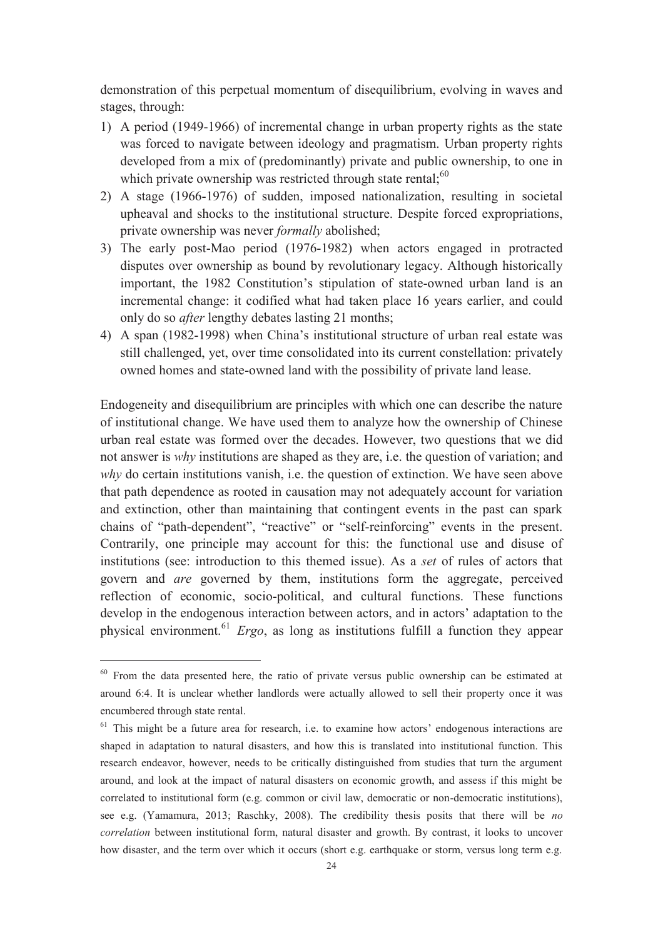demonstration of this perpetual momentum of disequilibrium, evolving in waves and stages, through:

- 1) A period (1949-1966) of incremental change in urban property rights as the state was forced to navigate between ideology and pragmatism. Urban property rights developed from a mix of (predominantly) private and public ownership, to one in which private ownership was restricted through state rental; $60$
- 2) A stage (1966-1976) of sudden, imposed nationalization, resulting in societal upheaval and shocks to the institutional structure. Despite forced expropriations, private ownership was never *formally* abolished;
- 3) The early post-Mao period (1976-1982) when actors engaged in protracted disputes over ownership as bound by revolutionary legacy. Although historically important, the 1982 Constitution's stipulation of state-owned urban land is an incremental change: it codified what had taken place 16 years earlier, and could only do so *after* lengthy debates lasting 21 months;
- 4) A span (1982-1998) when China's institutional structure of urban real estate was still challenged, yet, over time consolidated into its current constellation: privately owned homes and state-owned land with the possibility of private land lease.

Endogeneity and disequilibrium are principles with which one can describe the nature of institutional change. We have used them to analyze how the ownership of Chinese urban real estate was formed over the decades. However, two questions that we did not answer is *why* institutions are shaped as they are, i.e. the question of variation; and *why* do certain institutions vanish, i.e. the question of extinction. We have seen above that path dependence as rooted in causation may not adequately account for variation and extinction, other than maintaining that contingent events in the past can spark chains of "path-dependent", "reactive" or "self-reinforcing" events in the present. Contrarily, one principle may account for this: the functional use and disuse of institutions (see: introduction to this themed issue). As a *set* of rules of actors that govern and *are* governed by them, institutions form the aggregate, perceived reflection of economic, socio-political, and cultural functions. These functions develop in the endogenous interaction between actors, and in actors' adaptation to the physical environment.<sup>61</sup> *Ergo*, as long as institutions fulfill a function they appear

<sup>&</sup>lt;sup>60</sup> From the data presented here, the ratio of private versus public ownership can be estimated at around 6:4. It is unclear whether landlords were actually allowed to sell their property once it was encumbered through state rental.

 $61$  This might be a future area for research, i.e. to examine how actors' endogenous interactions are shaped in adaptation to natural disasters, and how this is translated into institutional function. This research endeavor, however, needs to be critically distinguished from studies that turn the argument around, and look at the impact of natural disasters on economic growth, and assess if this might be correlated to institutional form (e.g. common or civil law, democratic or non-democratic institutions), see e.g. (Yamamura, 2013; Raschky, 2008). The credibility thesis posits that there will be *no correlation* between institutional form, natural disaster and growth. By contrast, it looks to uncover how disaster, and the term over which it occurs (short e.g. earthquake or storm, versus long term e.g.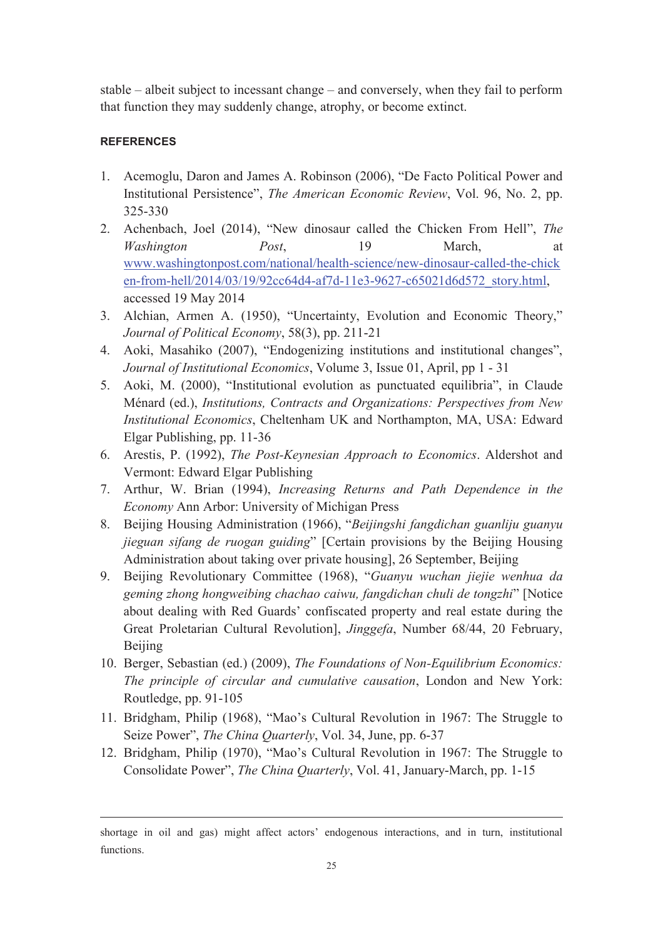stable – albeit subject to incessant change – and conversely, when they fail to perform that function they may suddenly change, atrophy, or become extinct.

## **REFERENCES**

- 1. Acemoglu, Daron and James A. Robinson (2006), "De Facto Political Power and Institutional Persistence", *The American Economic Review*, Vol. 96, No. 2, pp. 325-330
- 2. Achenbach, Joel (2014), "New dinosaur called the Chicken From Hell", *The Washington Post*, 19 March, at www.washingtonpost.com/national/health-science/new-dinosaur-called-the-chick en-from-hell/2014/03/19/92cc64d4-af7d-11e3-9627-c65021d6d572\_story.html, accessed 19 May 2014
- 3. Alchian, Armen A. (1950), "Uncertainty, Evolution and Economic Theory," *Journal of Political Economy*, 58(3), pp. 211-21
- 4. Aoki, Masahiko (2007), "Endogenizing institutions and institutional changes", *Journal of Institutional Economics*, Volume 3, Issue 01, April, pp 1 - 31
- 5. Aoki, M. (2000), "Institutional evolution as punctuated equilibria", in Claude Ménard (ed.), *Institutions, Contracts and Organizations: Perspectives from New Institutional Economics*, Cheltenham UK and Northampton, MA, USA: Edward Elgar Publishing, pp. 11-36
- 6. Arestis, P. (1992), *The Post-Keynesian Approach to Economics*. Aldershot and Vermont: Edward Elgar Publishing
- 7. Arthur, W. Brian (1994), *Increasing Returns and Path Dependence in the Economy* Ann Arbor: University of Michigan Press
- 8. Beijing Housing Administration (1966), "*Beijingshi fangdichan guanliju guanyu jieguan sifang de ruogan guiding*" [Certain provisions by the Beijing Housing Administration about taking over private housing], 26 September, Beijing
- 9. Beijing Revolutionary Committee (1968), "*Guanyu wuchan jiejie wenhua da geming zhong hongweibing chachao caiwu, fangdichan chuli de tongzhi*" [Notice about dealing with Red Guards' confiscated property and real estate during the Great Proletarian Cultural Revolution], *Jinggefa*, Number 68/44, 20 February, Beijing
- 10. Berger, Sebastian (ed.) (2009), *The Foundations of Non-Equilibrium Economics: The principle of circular and cumulative causation*, London and New York: Routledge, pp. 91-105
- 11. Bridgham, Philip (1968), "Mao's Cultural Revolution in 1967: The Struggle to Seize Power", *The China Quarterly*, Vol. 34, June, pp. 6-37
- 12. Bridgham, Philip (1970), "Mao's Cultural Revolution in 1967: The Struggle to Consolidate Power", *The China Quarterly*, Vol. 41, January-March, pp. 1-15

shortage in oil and gas) might affect actors' endogenous interactions, and in turn, institutional functions.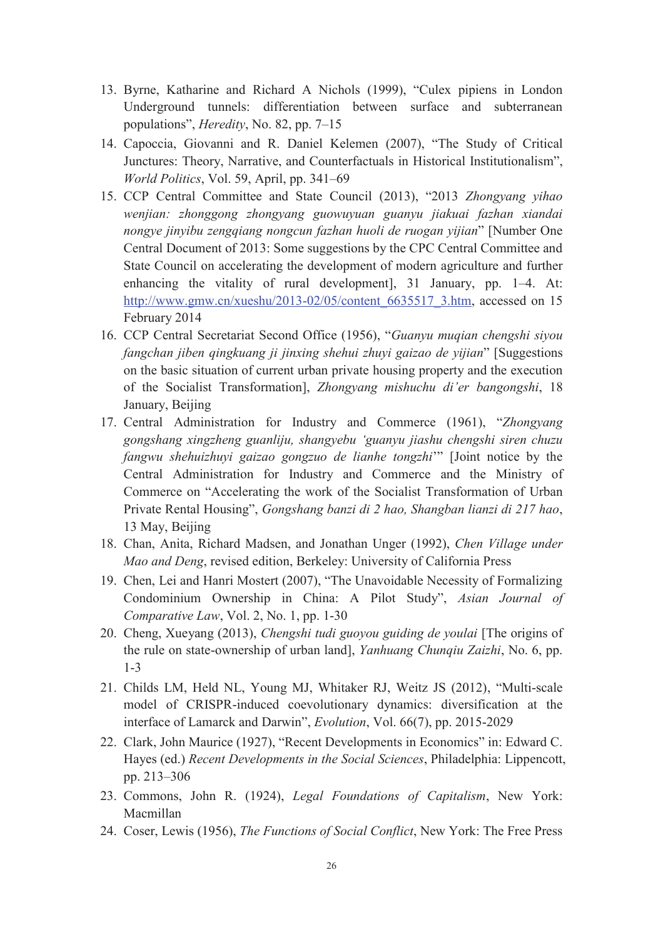- 13. Byrne, Katharine and Richard A Nichols (1999), "Culex pipiens in London Underground tunnels: differentiation between surface and subterranean populations", *Heredity*, No. 82, pp. 7–15
- 14. Capoccia, Giovanni and R. Daniel Kelemen (2007), "The Study of Critical Junctures: Theory, Narrative, and Counterfactuals in Historical Institutionalism", *World Politics*, Vol. 59, April, pp. 341–69
- 15. CCP Central Committee and State Council (2013), "2013 *Zhongyang yihao wenjian: zhonggong zhongyang guowuyuan guanyu jiakuai fazhan xiandai nongye jinyibu zengqiang nongcun fazhan huoli de ruogan yijian*" [Number One Central Document of 2013: Some suggestions by the CPC Central Committee and State Council on accelerating the development of modern agriculture and further enhancing the vitality of rural development], 31 January, pp. 1–4. At: http://www.gmw.cn/xueshu/2013-02/05/content\_6635517\_3.htm, accessed on 15 February 2014
- 16. CCP Central Secretariat Second Office (1956), "*Guanyu muqian chengshi siyou fangchan jiben qingkuang ji jinxing shehui zhuyi gaizao de yijian*" [Suggestions on the basic situation of current urban private housing property and the execution of the Socialist Transformation], *Zhongyang mishuchu di'er bangongshi*, 18 January, Beijing
- 17. Central Administration for Industry and Commerce (1961), "*Zhongyang gongshang xingzheng guanliju, shangyebu 'guanyu jiashu chengshi siren chuzu fangwu shehuizhuyi gaizao gongzuo de lianhe tongzhi*'" [Joint notice by the Central Administration for Industry and Commerce and the Ministry of Commerce on "Accelerating the work of the Socialist Transformation of Urban Private Rental Housing", *Gongshang banzi di 2 hao, Shangban lianzi di 217 hao*, 13 May, Beijing
- 18. Chan, Anita, Richard Madsen, and Jonathan Unger (1992), *Chen Village under Mao and Deng*, revised edition, Berkeley: University of California Press
- 19. Chen, Lei and Hanri Mostert (2007), "The Unavoidable Necessity of Formalizing Condominium Ownership in China: A Pilot Study", *Asian Journal of Comparative Law*, Vol. 2, No. 1, pp. 1-30
- 20. Cheng, Xueyang (2013), *Chengshi tudi guoyou guiding de youlai* [The origins of the rule on state-ownership of urban land], *Yanhuang Chunqiu Zaizhi*, No. 6, pp. 1-3
- 21. Childs LM, Held NL, Young MJ, Whitaker RJ, Weitz JS (2012), "Multi-scale model of CRISPR-induced coevolutionary dynamics: diversification at the interface of Lamarck and Darwin", *Evolution*, Vol. 66(7), pp. 2015-2029
- 22. Clark, John Maurice (1927), "Recent Developments in Economics" in: Edward C. Hayes (ed.) *Recent Developments in the Social Sciences*, Philadelphia: Lippencott, pp. 213–306
- 23. Commons, John R. (1924), *Legal Foundations of Capitalism*, New York: Macmillan
- 24. Coser, Lewis (1956), *The Functions of Social Conflict*, New York: The Free Press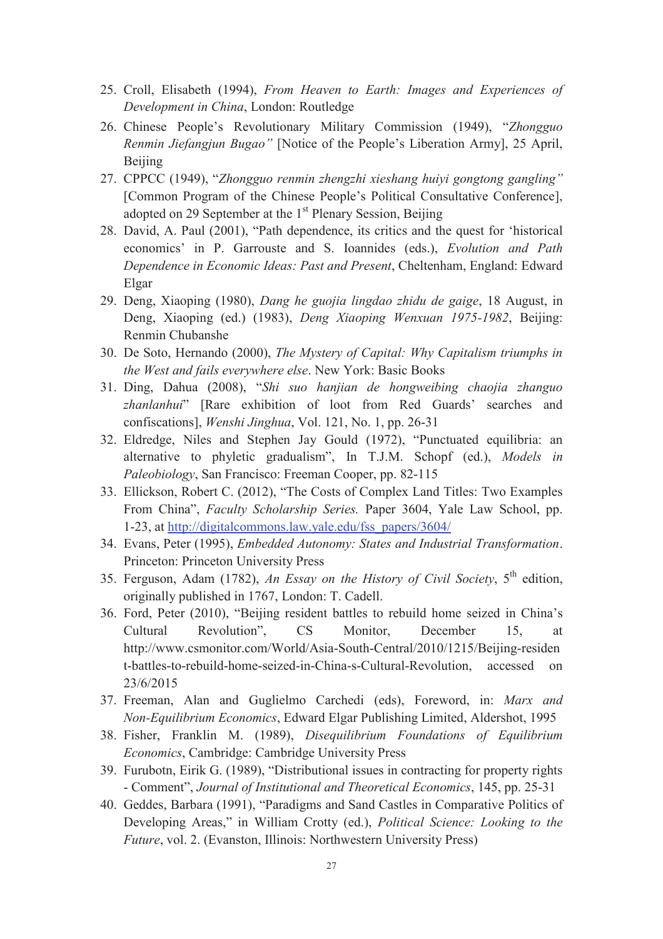- 25. Croll, Elisabeth (1994), *From Heaven to Earth: Images and Experiences of Development in China*, London: Routledge
- 26. Chinese People's Revolutionary Military Commission (1949), "*Zhongguo Renmin Jiefangjun Bugao"* [Notice of the People's Liberation Army], 25 April, Beijing
- 27. CPPCC (1949), "*Zhongguo renmin zhengzhi xieshang huiyi gongtong gangling"* [Common Program of the Chinese People's Political Consultative Conference], adopted on 29 September at the 1<sup>st</sup> Plenary Session, Beijing
- 28. David, A. Paul (2001), "Path dependence, its critics and the quest for 'historical economics' in P. Garrouste and S. Ioannides (eds.), *Evolution and Path Dependence in Economic Ideas: Past and Present*, Cheltenham, England: Edward Elgar
- 29. Deng, Xiaoping (1980), *Dang he guojia lingdao zhidu de gaige*, 18 August, in Deng, Xiaoping (ed.) (1983), *Deng Xiaoping Wenxuan 1975-1982*, Beijing: Renmin Chubanshe
- 30. De Soto, Hernando (2000), *The Mystery of Capital: Why Capitalism triumphs in the West and fails everywhere else*. New York: Basic Books
- 31. Ding, Dahua (2008), "*Shi suo hanjian de hongweibing chaojia zhanguo zhanlanhui*" [Rare exhibition of loot from Red Guards' searches and confiscations], *Wenshi Jinghua*, Vol. 121, No. 1, pp. 26-31
- 32. Eldredge, Niles and Stephen Jay Gould (1972), "Punctuated equilibria: an alternative to phyletic gradualism", In T.J.M. Schopf (ed.), *Models in Paleobiology*, San Francisco: Freeman Cooper, pp. 82-115
- 33. Ellickson, Robert C. (2012), "The Costs of Complex Land Titles: Two Examples From China", *Faculty Scholarship Series.* Paper 3604, Yale Law School, pp. 1-23, at http://digitalcommons.law.yale.edu/fss\_papers/3604/
- 34. Evans, Peter (1995), *Embedded Autonomy: States and Industrial Transformation*. Princeton: Princeton University Press
- 35. Ferguson, Adam (1782), *An Essay on the History of Civil Society*, 5th edition, originally published in 1767, London: T. Cadell.
- 36. Ford, Peter (2010), "Beijing resident battles to rebuild home seized in China's Cultural Revolution", CS Monitor, December 15, at http://www.csmonitor.com/World/Asia-South-Central/2010/1215/Beijing-residen t-battles-to-rebuild-home-seized-in-China-s-Cultural-Revolution, accessed on 23/6/2015
- 37. Freeman, Alan and Guglielmo Carchedi (eds), Foreword, in: *Marx and Non-Equilibrium Economics*, Edward Elgar Publishing Limited, Aldershot, 1995
- 38. Fisher, Franklin M. (1989), *Disequilibrium Foundations of Equilibrium Economics*, Cambridge: Cambridge University Press
- 39. Furubotn, Eirik G. (1989), "Distributional issues in contracting for property rights - Comment", *Journal of Institutional and Theoretical Economics*, 145, pp. 25-31
- 40. Geddes, Barbara (1991), "Paradigms and Sand Castles in Comparative Politics of Developing Areas," in William Crotty (ed.), *Political Science: Looking to the Future*, vol. 2. (Evanston, Illinois: Northwestern University Press)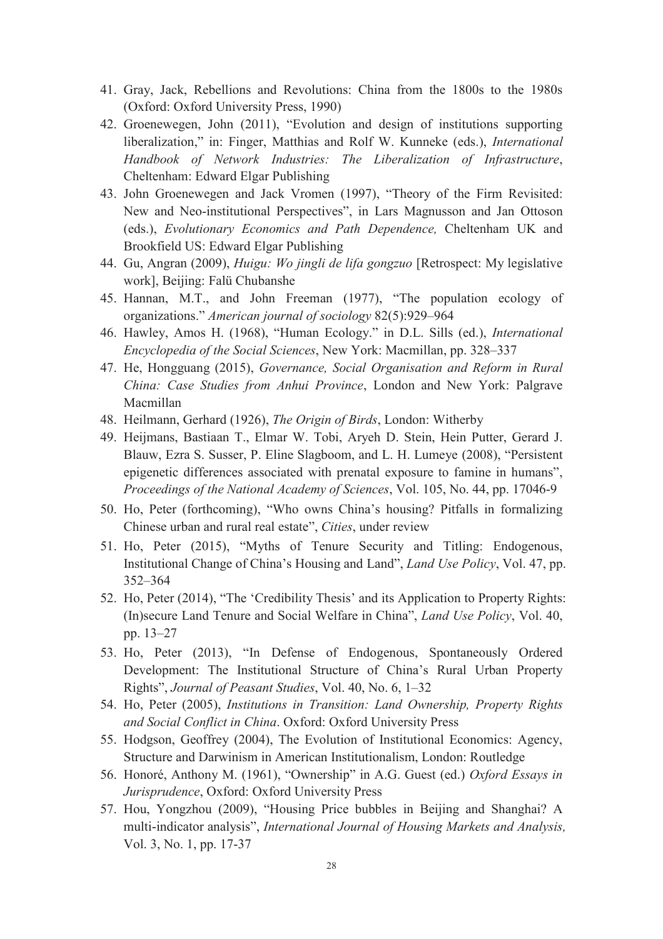- 41. Gray, Jack, Rebellions and Revolutions: China from the 1800s to the 1980s (Oxford: Oxford University Press, 1990)
- 42. Groenewegen, John (2011), "Evolution and design of institutions supporting liberalization," in: Finger, Matthias and Rolf W. Kunneke (eds.), *International Handbook of Network Industries: The Liberalization of Infrastructure*, Cheltenham: Edward Elgar Publishing
- 43. John Groenewegen and Jack Vromen (1997), "Theory of the Firm Revisited: New and Neo-institutional Perspectives", in Lars Magnusson and Jan Ottoson (eds.), *Evolutionary Economics and Path Dependence,* Cheltenham UK and Brookfield US: Edward Elgar Publishing
- 44. Gu, Angran (2009), *Huigu: Wo jingli de lifa gongzuo* [Retrospect: My legislative work], Beijing: Falü Chubanshe
- 45. Hannan, M.T., and John Freeman (1977), "The population ecology of organizations." *American journal of sociology* 82(5):929–964
- 46. Hawley, Amos H. (1968), "Human Ecology." in D.L. Sills (ed.), *International Encyclopedia of the Social Sciences*, New York: Macmillan, pp. 328–337
- 47. He, Hongguang (2015), *Governance, Social Organisation and Reform in Rural China: Case Studies from Anhui Province*, London and New York: Palgrave Macmillan
- 48. Heilmann, Gerhard (1926), *The Origin of Birds*, London: Witherby
- 49. Heijmans, Bastiaan T., Elmar W. Tobi, Aryeh D. Stein, Hein Putter, Gerard J. Blauw, Ezra S. Susser, P. Eline Slagboom, and L. H. Lumeye (2008), "Persistent epigenetic differences associated with prenatal exposure to famine in humans", *Proceedings of the National Academy of Sciences*, Vol. 105, No. 44, pp. 17046-9
- 50. Ho, Peter (forthcoming), "Who owns China's housing? Pitfalls in formalizing Chinese urban and rural real estate", *Cities*, under review
- 51. Ho, Peter (2015), "Myths of Tenure Security and Titling: Endogenous, Institutional Change of China's Housing and Land", *Land Use Policy*, Vol. 47, pp. 352–364
- 52. Ho, Peter (2014), "The 'Credibility Thesis' and its Application to Property Rights: (In)secure Land Tenure and Social Welfare in China", *Land Use Policy*, Vol. 40, pp. 13–27
- 53. Ho, Peter (2013), "In Defense of Endogenous, Spontaneously Ordered Development: The Institutional Structure of China's Rural Urban Property Rights", *Journal of Peasant Studies*, Vol. 40, No. 6, 1–32
- 54. Ho, Peter (2005), *Institutions in Transition: Land Ownership, Property Rights and Social Conflict in China*. Oxford: Oxford University Press
- 55. Hodgson, Geoffrey (2004), The Evolution of Institutional Economics: Agency, Structure and Darwinism in American Institutionalism, London: Routledge
- 56. Honoré, Anthony M. (1961), "Ownership" in A.G. Guest (ed.) *Oxford Essays in Jurisprudence*, Oxford: Oxford University Press
- 57. Hou, Yongzhou (2009), "Housing Price bubbles in Beijing and Shanghai? A multi-indicator analysis", *International Journal of Housing Markets and Analysis,*  Vol. 3, No. 1, pp. 17-37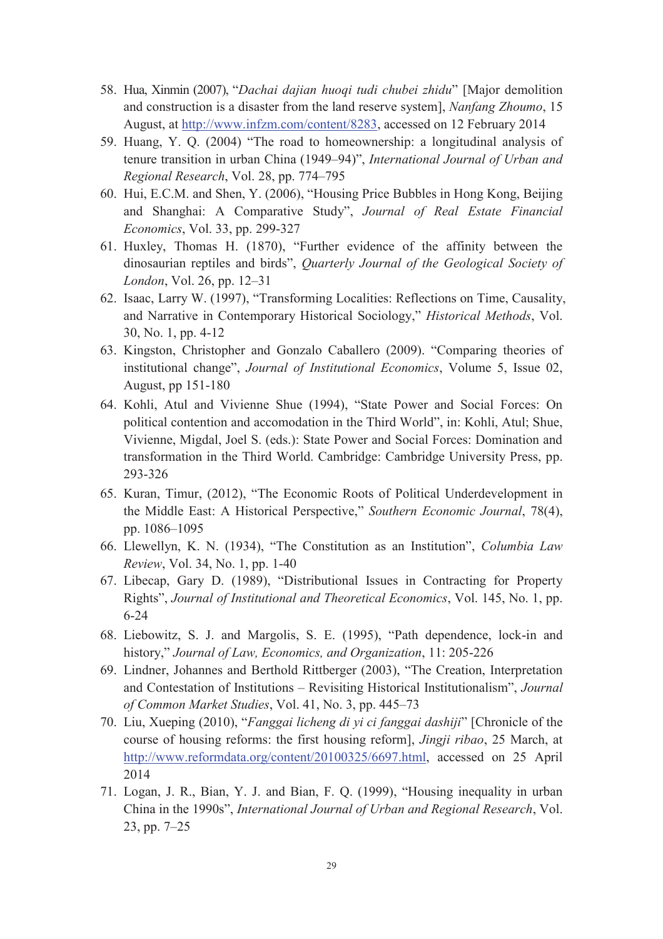- 58. Hua, Xinmin (2007), "*Dachai dajian huoqi tudi chubei zhidu*" [Major demolition and construction is a disaster from the land reserve system], *Nanfang Zhoumo*, 15 August, at http://www.infzm.com/content/8283, accessed on 12 February 2014
- 59. Huang, Y. Q. (2004) "The road to homeownership: a longitudinal analysis of tenure transition in urban China (1949–94)", *International Journal of Urban and Regional Research*, Vol. 28, pp. 774–795
- 60. Hui, E.C.M. and Shen, Y. (2006), "Housing Price Bubbles in Hong Kong, Beijing and Shanghai: A Comparative Study", *Journal of Real Estate Financial Economics*, Vol. 33, pp. 299-327
- 61. Huxley, Thomas H. (1870), "Further evidence of the affinity between the dinosaurian reptiles and birds", *Quarterly Journal of the Geological Society of London*, Vol. 26, pp. 12–31
- 62. Isaac, Larry W. (1997), "Transforming Localities: Reflections on Time, Causality, and Narrative in Contemporary Historical Sociology," *Historical Methods*, Vol. 30, No. 1, pp. 4-12
- 63. Kingston, Christopher and Gonzalo Caballero (2009). "Comparing theories of institutional change", *Journal of Institutional Economics*, Volume 5, Issue 02, August, pp 151-180
- 64. Kohli, Atul and Vivienne Shue (1994), "State Power and Social Forces: On political contention and accomodation in the Third World", in: Kohli, Atul; Shue, Vivienne, Migdal, Joel S. (eds.): State Power and Social Forces: Domination and transformation in the Third World. Cambridge: Cambridge University Press, pp. 293-326
- 65. Kuran, Timur, (2012), "The Economic Roots of Political Underdevelopment in the Middle East: A Historical Perspective," *Southern Economic Journal*, 78(4), pp. 1086–1095
- 66. Llewellyn, K. N. (1934), "The Constitution as an Institution", *Columbia Law Review*, Vol. 34, No. 1, pp. 1-40
- 67. Libecap, Gary D. (1989), "Distributional Issues in Contracting for Property Rights", *Journal of Institutional and Theoretical Economics*, Vol. 145, No. 1, pp. 6-24
- 68. Liebowitz, S. J. and Margolis, S. E. (1995), "Path dependence, lock-in and history," *Journal of Law, Economics, and Organization*, 11: 205-226
- 69. Lindner, Johannes and Berthold Rittberger (2003), "The Creation, Interpretation and Contestation of Institutions – Revisiting Historical Institutionalism", *Journal of Common Market Studies*, Vol. 41, No. 3, pp. 445–73
- 70. Liu, Xueping (2010), "*Fanggai licheng di yi ci fanggai dashiji*" [Chronicle of the course of housing reforms: the first housing reform], *Jingji ribao*, 25 March, at http://www.reformdata.org/content/20100325/6697.html, accessed on 25 April 2014
- 71. Logan, J. R., Bian, Y. J. and Bian, F. Q. (1999), "Housing inequality in urban China in the 1990s", *International Journal of Urban and Regional Research*, Vol. 23, pp. 7–25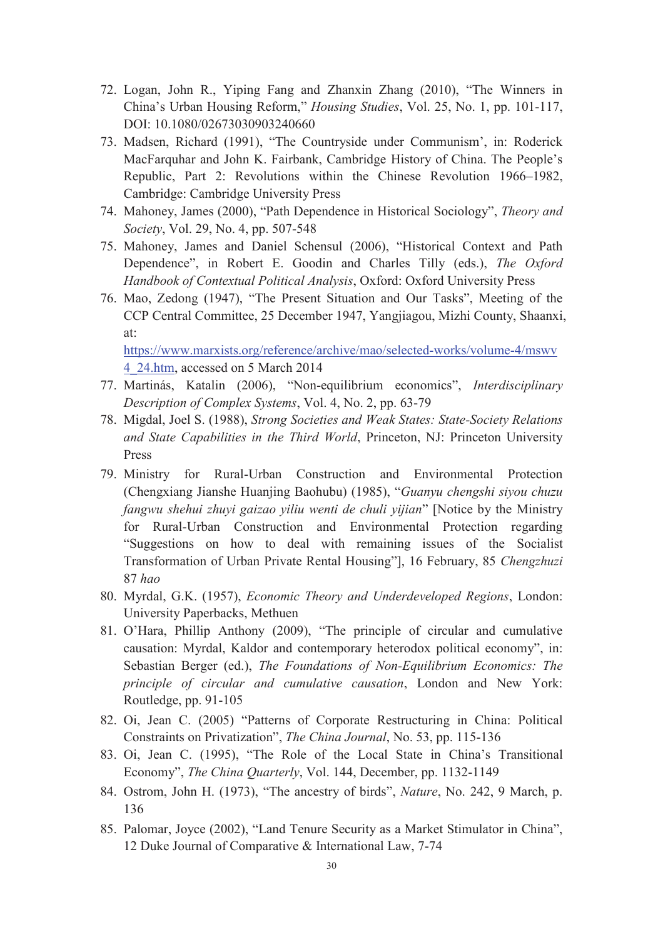- 72. Logan, John R., Yiping Fang and Zhanxin Zhang (2010), "The Winners in China's Urban Housing Reform," *Housing Studies*, Vol. 25, No. 1, pp. 101-117, DOI: 10.1080/02673030903240660
- 73. Madsen, Richard (1991), "The Countryside under Communism', in: Roderick MacFarquhar and John K. Fairbank, Cambridge History of China. The People's Republic, Part 2: Revolutions within the Chinese Revolution 1966–1982, Cambridge: Cambridge University Press
- 74. Mahoney, James (2000), "Path Dependence in Historical Sociology", *Theory and Society*, Vol. 29, No. 4, pp. 507-548
- 75. Mahoney, James and Daniel Schensul (2006), "Historical Context and Path Dependence", in Robert E. Goodin and Charles Tilly (eds.), *The Oxford Handbook of Contextual Political Analysis*, Oxford: Oxford University Press
- 76. Mao, Zedong (1947), "The Present Situation and Our Tasks", Meeting of the CCP Central Committee, 25 December 1947, Yangjiagou, Mizhi County, Shaanxi, at:

https://www.marxists.org/reference/archive/mao/selected-works/volume-4/mswv 4\_24.htm, accessed on 5 March 2014

- 77. Martinás, Katalin (2006), "Non-equilibrium economics", *Interdisciplinary Description of Complex Systems*, Vol. 4, No. 2, pp. 63-79
- 78. Migdal, Joel S. (1988), *Strong Societies and Weak States: State-Society Relations and State Capabilities in the Third World*, Princeton, NJ: Princeton University Press
- 79. Ministry for Rural-Urban Construction and Environmental Protection (Chengxiang Jianshe Huanjing Baohubu) (1985), "*Guanyu chengshi siyou chuzu fangwu shehui zhuyi gaizao yiliu wenti de chuli yijian*" [Notice by the Ministry for Rural-Urban Construction and Environmental Protection regarding "Suggestions on how to deal with remaining issues of the Socialist Transformation of Urban Private Rental Housing"], 16 February, 85 *Chengzhuzi* 87 *hao*
- 80. Myrdal, G.K. (1957), *Economic Theory and Underdeveloped Regions*, London: University Paperbacks, Methuen
- 81. O'Hara, Phillip Anthony (2009), "The principle of circular and cumulative causation: Myrdal, Kaldor and contemporary heterodox political economy", in: Sebastian Berger (ed.), *The Foundations of Non-Equilibrium Economics: The principle of circular and cumulative causation*, London and New York: Routledge, pp. 91-105
- 82. Oi, Jean C. (2005) "Patterns of Corporate Restructuring in China: Political Constraints on Privatization", *The China Journal*, No. 53, pp. 115-136
- 83. Oi, Jean C. (1995), "The Role of the Local State in China's Transitional Economy", *The China Quarterly*, Vol. 144, December, pp. 1132-1149
- 84. Ostrom, John H. (1973), "The ancestry of birds", *Nature*, No. 242, 9 March, p. 136
- 85. Palomar, Joyce (2002), "Land Tenure Security as a Market Stimulator in China", 12 Duke Journal of Comparative & International Law, 7-74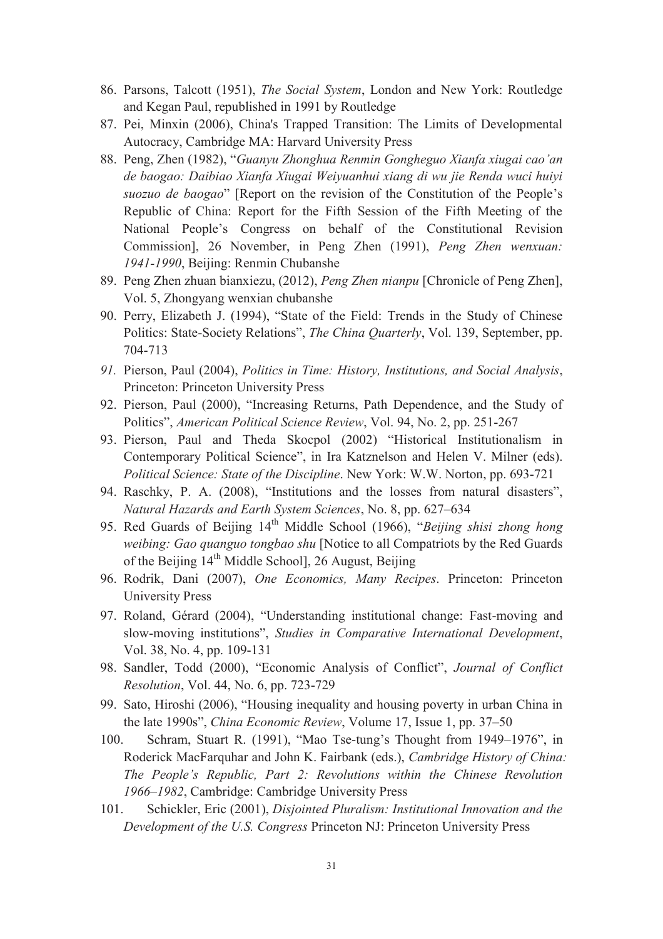- 86. Parsons, Talcott (1951), *The Social System*, London and New York: Routledge and Kegan Paul, republished in 1991 by Routledge
- 87. Pei, Minxin (2006), China's Trapped Transition: The Limits of Developmental Autocracy, Cambridge MA: Harvard University Press
- 88. Peng, Zhen (1982), "*Guanyu Zhonghua Renmin Gongheguo Xianfa xiugai cao'an de baogao: Daibiao Xianfa Xiugai Weiyuanhui xiang di wu jie Renda wuci huiyi suozuo de baogao*" [Report on the revision of the Constitution of the People's Republic of China: Report for the Fifth Session of the Fifth Meeting of the National People's Congress on behalf of the Constitutional Revision Commission], 26 November, in Peng Zhen (1991), *Peng Zhen wenxuan: 1941-1990*, Beijing: Renmin Chubanshe
- 89. Peng Zhen zhuan bianxiezu, (2012), *Peng Zhen nianpu* [Chronicle of Peng Zhen], Vol. 5, Zhongyang wenxian chubanshe
- 90. Perry, Elizabeth J. (1994), "State of the Field: Trends in the Study of Chinese Politics: State-Society Relations", *The China Quarterly*, Vol. 139, September, pp. 704-713
- *91.* Pierson, Paul (2004), *Politics in Time: History, Institutions, and Social Analysis*, Princeton: Princeton University Press
- 92. Pierson, Paul (2000), "Increasing Returns, Path Dependence, and the Study of Politics", *American Political Science Review*, Vol. 94, No. 2, pp. 251-267
- 93. Pierson, Paul and Theda Skocpol (2002) "Historical Institutionalism in Contemporary Political Science", in Ira Katznelson and Helen V. Milner (eds). *Political Science: State of the Discipline*. New York: W.W. Norton, pp. 693-721
- 94. Raschky, P. A. (2008), "Institutions and the losses from natural disasters", *Natural Hazards and Earth System Sciences*, No. 8, pp. 627–634
- 95. Red Guards of Beijing 14th Middle School (1966), "*Beijing shisi zhong hong weibing: Gao quanguo tongbao shu* [Notice to all Compatriots by the Red Guards of the Beijing  $14<sup>th</sup>$  Middle School], 26 August, Beijing
- 96. Rodrik, Dani (2007), *One Economics, Many Recipes*. Princeton: Princeton University Press
- 97. Roland, Gérard (2004), "Understanding institutional change: Fast-moving and slow-moving institutions", *Studies in Comparative International Development*, Vol. 38, No. 4, pp. 109-131
- 98. Sandler, Todd (2000), "Economic Analysis of Conflict", *Journal of Conflict Resolution*, Vol. 44, No. 6, pp. 723-729
- 99. Sato, Hiroshi (2006), "Housing inequality and housing poverty in urban China in the late 1990s", *China Economic Review*, Volume 17, Issue 1, pp. 37–50
- 100. Schram, Stuart R. (1991), "Mao Tse-tung's Thought from 1949–1976", in Roderick MacFarquhar and John K. Fairbank (eds.), *Cambridge History of China: The People's Republic, Part 2: Revolutions within the Chinese Revolution 1966–1982*, Cambridge: Cambridge University Press
- 101. Schickler, Eric (2001), *Disjointed Pluralism: Institutional Innovation and the Development of the U.S. Congress* Princeton NJ: Princeton University Press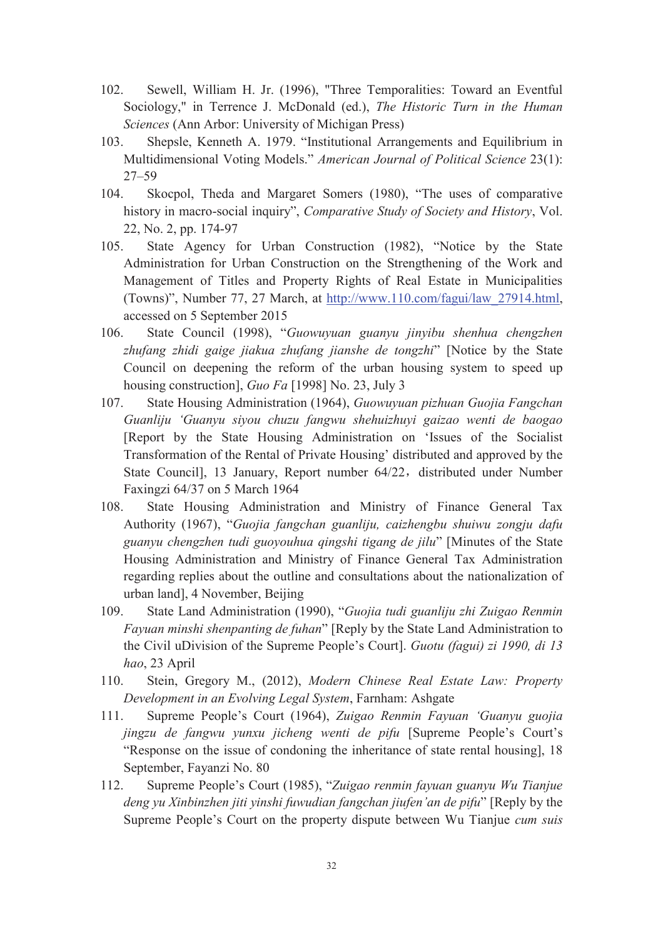- 102. Sewell, William H. Jr. (1996), "Three Temporalities: Toward an Eventful Sociology," in Terrence J. McDonald (ed.), *The Historic Turn in the Human Sciences* (Ann Arbor: University of Michigan Press)
- 103. Shepsle, Kenneth A. 1979. "Institutional Arrangements and Equilibrium in Multidimensional Voting Models." *American Journal of Political Science* 23(1): 27–59
- 104. Skocpol, Theda and Margaret Somers (1980), "The uses of comparative history in macro-social inquiry", *Comparative Study of Society and History*, Vol. 22, No. 2, pp. 174-97
- 105. State Agency for Urban Construction (1982), "Notice by the State Administration for Urban Construction on the Strengthening of the Work and Management of Titles and Property Rights of Real Estate in Municipalities (Towns)", Number 77, 27 March, at http://www.110.com/fagui/law\_27914.html, accessed on 5 September 2015
- 106. State Council (1998), "*Guowuyuan guanyu jinyibu shenhua chengzhen zhufang zhidi gaige jiakua zhufang jianshe de tongzhi*" [Notice by the State Council on deepening the reform of the urban housing system to speed up housing construction], *Guo Fa* [1998] No. 23, July 3
- 107. State Housing Administration (1964), *Guowuyuan pizhuan Guojia Fangchan Guanliju 'Guanyu siyou chuzu fangwu shehuizhuyi gaizao wenti de baogao*  [Report by the State Housing Administration on 'Issues of the Socialist Transformation of the Rental of Private Housing' distributed and approved by the State Councill, 13 January, Report number 64/22, distributed under Number Faxingzi 64/37 on 5 March 1964
- 108. State Housing Administration and Ministry of Finance General Tax Authority (1967), "*Guojia fangchan guanliju, caizhengbu shuiwu zongju dafu guanyu chengzhen tudi guoyouhua qingshi tigang de jilu*" [Minutes of the State Housing Administration and Ministry of Finance General Tax Administration regarding replies about the outline and consultations about the nationalization of urban land], 4 November, Beijing
- 109. State Land Administration (1990), "*Guojia tudi guanliju zhi Zuigao Renmin Fayuan minshi shenpanting de fuhan*" [Reply by the State Land Administration to the Civil uDivision of the Supreme People's Court]. *Guotu (fagui) zi 1990, di 13 hao*, 23 April
- 110. Stein, Gregory M., (2012), *Modern Chinese Real Estate Law: Property Development in an Evolving Legal System*, Farnham: Ashgate
- 111. Supreme People's Court (1964), *Zuigao Renmin Fayuan 'Guanyu guojia jingzu de fangwu yunxu jicheng wenti de pifu* [Supreme People's Court's "Response on the issue of condoning the inheritance of state rental housing], 18 September, Fayanzi No. 80
- 112. Supreme People's Court (1985), "*Zuigao renmin fayuan guanyu Wu Tianjue deng yu Xinbinzhen jiti yinshi fuwudian fangchan jiufen'an de pifu*" [Reply by the Supreme People's Court on the property dispute between Wu Tianjue *cum suis*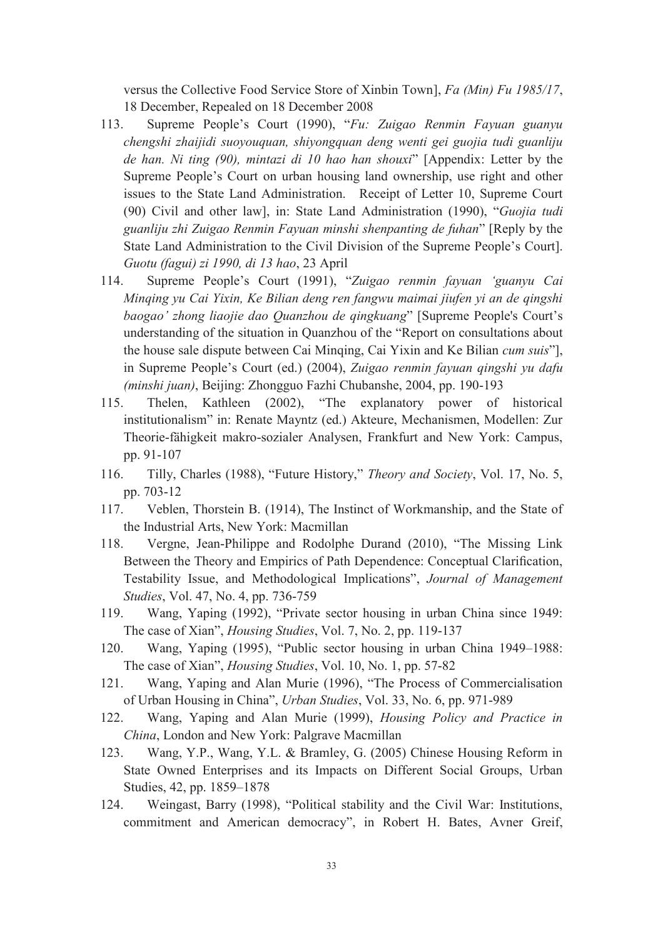versus the Collective Food Service Store of Xinbin Town], *Fa (Min) Fu 1985/17*, 18 December, Repealed on 18 December 2008

- 113. Supreme People's Court (1990), "*Fu: Zuigao Renmin Fayuan guanyu chengshi zhaijidi suoyouquan, shiyongquan deng wenti gei guojia tudi guanliju de han. Ni ting (90), mintazi di 10 hao han shouxi*" [Appendix: Letter by the Supreme People's Court on urban housing land ownership, use right and other issues to the State Land Administration. Receipt of Letter 10, Supreme Court (90) Civil and other law], in: State Land Administration (1990), "*Guojia tudi guanliju zhi Zuigao Renmin Fayuan minshi shenpanting de fuhan*" [Reply by the State Land Administration to the Civil Division of the Supreme People's Court]. *Guotu (fagui) zi 1990, di 13 hao*, 23 April
- 114. Supreme People's Court (1991), "*Zuigao renmin fayuan 'guanyu Cai Minqing yu Cai Yixin, Ke Bilian deng ren fangwu maimai jiufen yi an de qingshi baogao' zhong liaojie dao Quanzhou de qingkuang*" [Supreme People's Court's understanding of the situation in Quanzhou of the "Report on consultations about the house sale dispute between Cai Minqing, Cai Yixin and Ke Bilian *cum suis*"], in Supreme People's Court (ed.) (2004), *Zuigao renmin fayuan qingshi yu dafu (minshi juan)*, Beijing: Zhongguo Fazhi Chubanshe, 2004, pp. 190-193
- 115. Thelen, Kathleen (2002), "The explanatory power of historical institutionalism" in: Renate Mayntz (ed.) Akteure, Mechanismen, Modellen: Zur Theorie-fähigkeit makro-sozialer Analysen, Frankfurt and New York: Campus, pp. 91-107
- 116. Tilly, Charles (1988), "Future History," *Theory and Society*, Vol. 17, No. 5, pp. 703-12
- 117. Veblen, Thorstein B. (1914), The Instinct of Workmanship, and the State of the Industrial Arts, New York: Macmillan
- 118. Vergne, Jean-Philippe and Rodolphe Durand (2010), "The Missing Link Between the Theory and Empirics of Path Dependence: Conceptual Clarification, Testability Issue, and Methodological Implications", *Journal of Management Studies*, Vol. 47, No. 4, pp. 736-759
- 119. Wang, Yaping (1992), "Private sector housing in urban China since 1949: The case of Xian", *Housing Studies*, Vol. 7, No. 2, pp. 119-137
- 120. Wang, Yaping (1995), "Public sector housing in urban China 1949–1988: The case of Xian", *Housing Studies*, Vol. 10, No. 1, pp. 57-82
- 121. Wang, Yaping and Alan Murie (1996), "The Process of Commercialisation of Urban Housing in China", *Urban Studies*, Vol. 33, No. 6, pp. 971-989
- 122. Wang, Yaping and Alan Murie (1999), *Housing Policy and Practice in China*, London and New York: Palgrave Macmillan
- 123. Wang, Y.P., Wang, Y.L. & Bramley, G. (2005) Chinese Housing Reform in State Owned Enterprises and its Impacts on Different Social Groups, Urban Studies, 42, pp. 1859–1878
- 124. Weingast, Barry (1998), "Political stability and the Civil War: Institutions, commitment and American democracy", in Robert H. Bates, Avner Greif,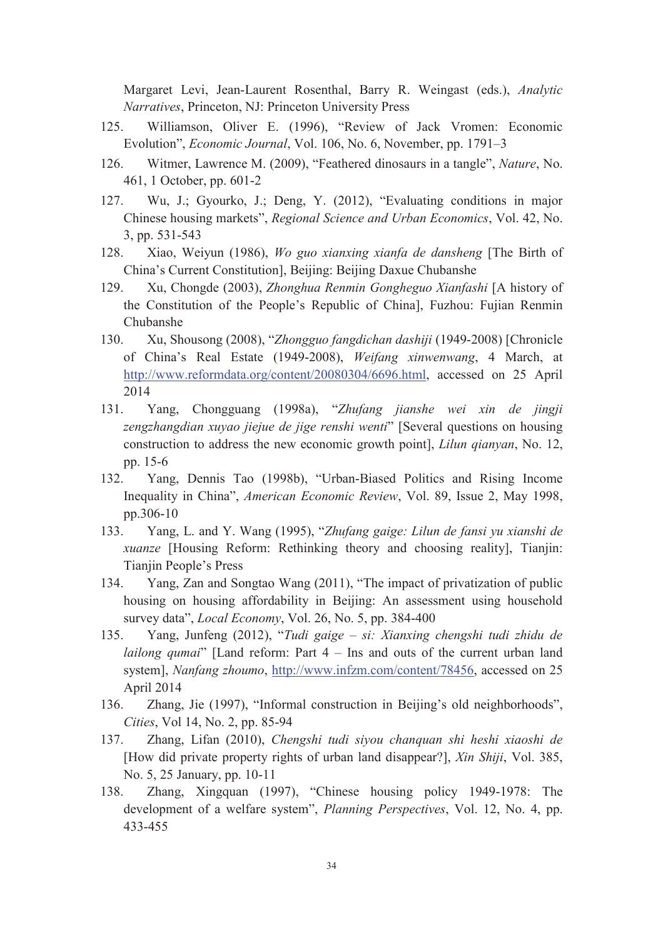Margaret Levi, Jean-Laurent Rosenthal, Barry R. Weingast (eds.), *Analytic Narratives*, Princeton, NJ: Princeton University Press

- 125. Williamson, Oliver E. (1996), "Review of Jack Vromen: Economic Evolution", *Economic Journal*, Vol. 106, No. 6, November, pp. 1791–3
- 126. Witmer, Lawrence M. (2009), "Feathered dinosaurs in a tangle", *Nature*, No. 461, 1 October, pp. 601-2
- 127. Wu, J.; Gyourko, J.; Deng, Y. (2012), "Evaluating conditions in major Chinese housing markets", *Regional Science and Urban Economics*, Vol. 42, No. 3, pp. 531-543
- 128. Xiao, Weiyun (1986), *Wo guo xianxing xianfa de dansheng* [The Birth of China's Current Constitution], Beijing: Beijing Daxue Chubanshe
- 129. Xu, Chongde (2003), *Zhonghua Renmin Gongheguo Xianfashi* [A history of the Constitution of the People's Republic of China], Fuzhou: Fujian Renmin Chubanshe
- 130. Xu, Shousong (2008), "*Zhongguo fangdichan dashiji* (1949-2008) [Chronicle of China's Real Estate (1949-2008), *Weifang xinwenwang*, 4 March, at http://www.reformdata.org/content/20080304/6696.html, accessed on 25 April 2014
- 131. Yang, Chongguang (1998a), "*Zhufang jianshe wei xin de jingji zengzhangdian xuyao jiejue de jige renshi wenti*" [Several questions on housing construction to address the new economic growth point], *Lilun qianyan*, No. 12, pp. 15-6
- 132. Yang, Dennis Tao (1998b), "Urban-Biased Politics and Rising Income Inequality in China", *American Economic Review*, Vol. 89, Issue 2, May 1998, pp.306-10
- 133. Yang, L. and Y. Wang (1995), "*Zhufang gaige: Lilun de fansi yu xianshi de xuanze* [Housing Reform: Rethinking theory and choosing reality], Tianjin: Tianjin People's Press
- 134. Yang, Zan and Songtao Wang (2011), "The impact of privatization of public housing on housing affordability in Beijing: An assessment using household survey data", *Local Economy*, Vol. 26, No. 5, pp. 384-400
- 135. Yang, Junfeng (2012), "*Tudi gaige – si: Xianxing chengshi tudi zhidu de lailong qumai*" [Land reform: Part 4 – Ins and outs of the current urban land system], *Nanfang zhoumo*, http://www.infzm.com/content/78456, accessed on 25 April 2014
- 136. Zhang, Jie (1997), "Informal construction in Beijing's old neighborhoods", *Cities*, Vol 14, No. 2, pp. 85-94
- 137. Zhang, Lifan (2010), *Chengshi tudi siyou chanquan shi heshi xiaoshi de* [How did private property rights of urban land disappear?], *Xin Shiji*, Vol. 385, No. 5, 25 January, pp. 10-11
- 138. Zhang, Xingquan (1997), "Chinese housing policy 1949-1978: The development of a welfare system", *Planning Perspectives*, Vol. 12, No. 4, pp. 433-455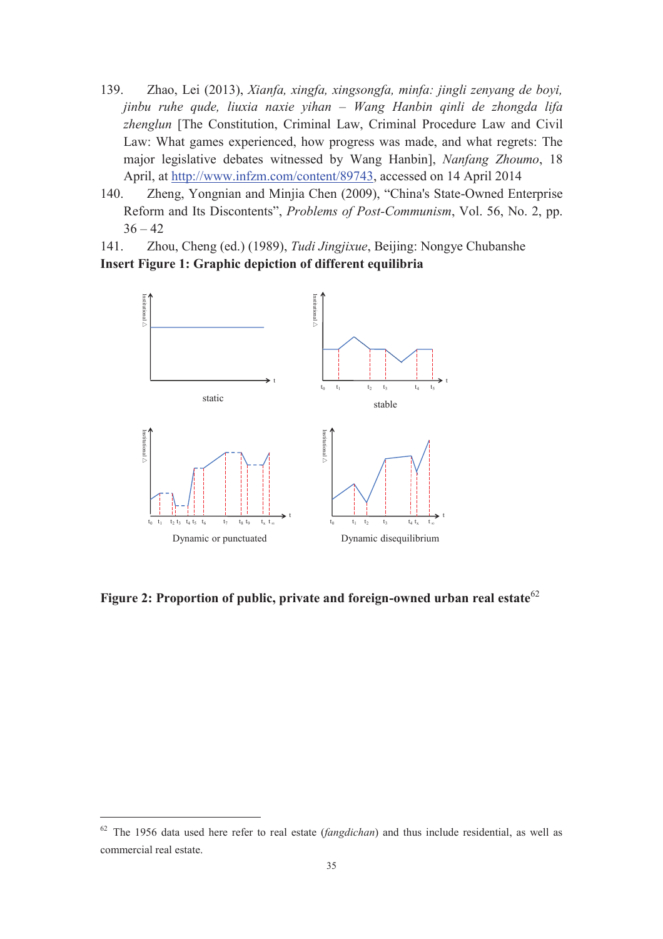- 139. Zhao, Lei (2013), *Xianfa, xingfa, xingsongfa, minfa: jingli zenyang de boyi, jinbu ruhe qude, liuxia naxie yihan – Wang Hanbin qinli de zhongda lifa zhenglun* [The Constitution, Criminal Law, Criminal Procedure Law and Civil Law: What games experienced, how progress was made, and what regrets: The major legislative debates witnessed by Wang Hanbin], *Nanfang Zhoumo*, 18 April, at http://www.infzm.com/content/89743, accessed on 14 April 2014
- 140. Zheng, Yongnian and Minjia Chen (2009), "China's State-Owned Enterprise Reform and Its Discontents", *Problems of Post-Communism*, Vol. 56, No. 2, pp.  $36 - 42$

141. Zhou, Cheng (ed.) (1989), *Tudi Jingjixue*, Beijing: Nongye Chubanshe **Insert Figure 1: Graphic depiction of different equilibria**



**Figure 2: Proportion of public, private and foreign-owned urban real estate**<sup>62</sup>

<sup>62</sup> The 1956 data used here refer to real estate (*fangdichan*) and thus include residential, as well as commercial real estate.